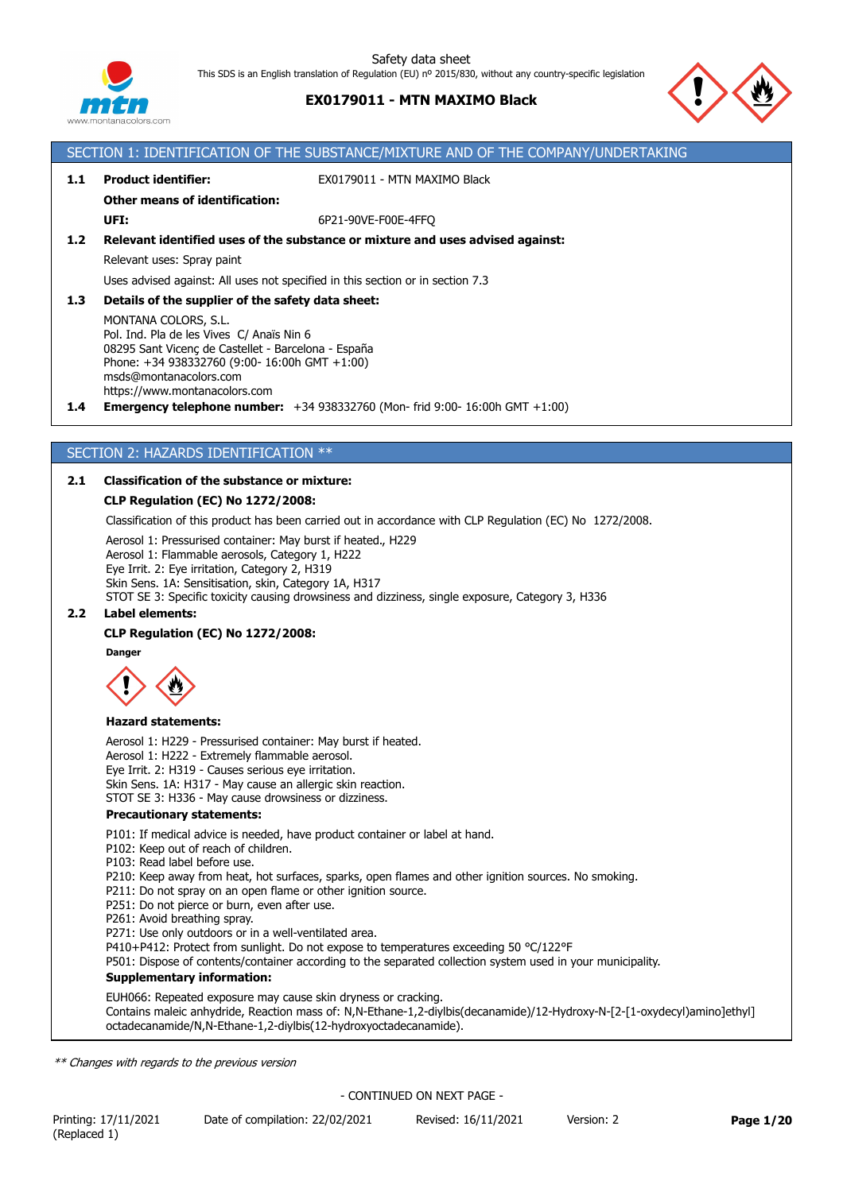

# **EX0179011 - MTN MAXIMO Black**

SECTION 1: IDENTIFICATION OF THE SUBSTANCE/MIXTURE AND OF THE COMPANY/UNDERTAKING



# **1.1 Product identifier:** EX0179011 - MTN MAXIMO Black **Other means of identification: UFI:** 6P21-90VE-F00E-4FFQ **1.2 Relevant identified uses of the substance or mixture and uses advised against:** Relevant uses: Spray paint Uses advised against: All uses not specified in this section or in section 7.3 **1.3 Details of the supplier of the safety data sheet:** MONTANA COLORS, S.L. Pol. Ind. Pla de les Vives C/ Anaïs Nin 6 08295 Sant Vicenç de Castellet - Barcelona - España Phone: +34 938332760 (9:00- 16:00h GMT +1:00) msds@montanacolors.com https://www.montanacolors.com **1.4 Emergency telephone number:** +34 938332760 (Mon- frid 9:00- 16:00h GMT +1:00) SECTION 2: HAZARDS IDENTIFICATION \*\* **2.1 Classification of the substance or mixture: CLP Regulation (EC) No 1272/2008:** Classification of this product has been carried out in accordance with CLP Regulation (EC) No 1272/2008. Aerosol 1: Pressurised container: May burst if heated., H229 Aerosol 1: Flammable aerosols, Category 1, H222 Eye Irrit. 2: Eye irritation, Category 2, H319 Skin Sens. 1A: Sensitisation, skin, Category 1A, H317 STOT SE 3: Specific toxicity causing drowsiness and dizziness, single exposure, Category 3, H336 **2.2 Label elements: CLP Regulation (EC) No 1272/2008: Danger Hazard statements:** Aerosol 1: H229 - Pressurised container: May burst if heated. Aerosol 1: H222 - Extremely flammable aerosol. Eye Irrit. 2: H319 - Causes serious eye irritation. Skin Sens. 1A: H317 - May cause an allergic skin reaction. STOT SE 3: H336 - May cause drowsiness or dizziness. **Precautionary statements:** P101: If medical advice is needed, have product container or label at hand. P102: Keep out of reach of children. P103: Read label before use. P210: Keep away from heat, hot surfaces, sparks, open flames and other ignition sources. No smoking. P211: Do not spray on an open flame or other ignition source. P251: Do not pierce or burn, even after use. P261: Avoid breathing spray. P271: Use only outdoors or in a well-ventilated area. P410+P412: Protect from sunlight. Do not expose to temperatures exceeding 50 °C/122°F P501: Dispose of contents/container according to the separated collection system used in your municipality. **Supplementary information:** EUH066: Repeated exposure may cause skin dryness or cracking. Contains maleic anhydride, Reaction mass of: N,N-Ethane-1,2-diylbis(decanamide)/12-Hydroxy-N-[2-[1-oxydecyl)amino]ethyl] octadecanamide/N,N-Ethane-1,2-diylbis(12-hydroxyoctadecanamide). *\*\* Changes with regards to the previous version* - CONTINUED ON NEXT PAGE -

Printing: 17/11/2021 Date of compilation: 22/02/2021 Revised: 16/11/2021 Version: 2 **Page 1/20** (Replaced 1)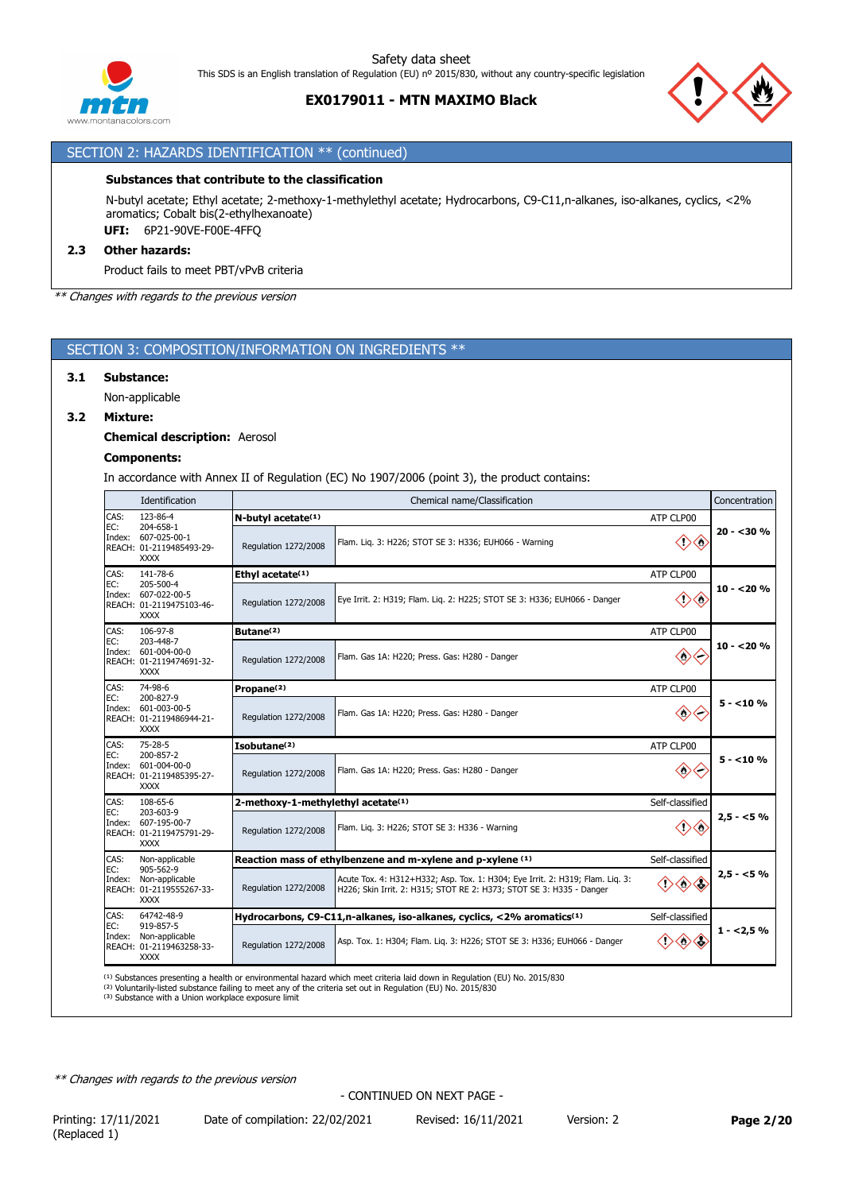

## **EX0179011 - MTN MAXIMO Black**



# SECTION 2: HAZARDS IDENTIFICATION \*\* (continued)

## **Substances that contribute to the classification**

N-butyl acetate; Ethyl acetate; 2-methoxy-1-methylethyl acetate; Hydrocarbons, C9-C11,n-alkanes, iso-alkanes, cyclics, <2% aromatics; Cobalt bis(2-ethylhexanoate) **UFI:** 6P21-90VE-F00E-4FFQ

#### **2.3 Other hazards:**

Product fails to meet PBT/vPvB criteria

*\*\* Changes with regards to the previous version*

## SECTION 3: COMPOSITION/INFORMATION ON INGREDIENTS \*\*

#### **3.1 Substance:**

Non-applicable

#### **3.2 Mixture:**

**Chemical description:** Aerosol

### **Components:**

In accordance with Annex II of Regulation (EC) No 1907/2006 (point 3), the product contains:

|                                                                          | Identification                                                              | Chemical name/Classification                   |                                                                                                                                                       |                                 |            |  |  |
|--------------------------------------------------------------------------|-----------------------------------------------------------------------------|------------------------------------------------|-------------------------------------------------------------------------------------------------------------------------------------------------------|---------------------------------|------------|--|--|
| CAS:                                                                     | 123-86-4                                                                    | $N$ -butyl acetate $(1)$<br>ATP CLP00          |                                                                                                                                                       |                                 |            |  |  |
| EC:<br>Index:                                                            | 204-658-1<br>607-025-00-1<br>REACH: 01-2119485493-29-<br><b>XXXX</b>        | Regulation 1272/2008                           | Flam. Liq. 3: H226; STOT SE 3: H336; EUH066 - Warning                                                                                                 | ◇<br>$\diamondsuit$             | $20 - 30%$ |  |  |
| CAS:                                                                     | 141-78-6<br>205-500-4                                                       | Ethyl acetate <sup>(1)</sup>                   |                                                                                                                                                       | ATP CLP00                       |            |  |  |
| EC:<br>607-022-00-5<br>Index:<br>REACH: 01-2119475103-46-<br><b>XXXX</b> |                                                                             | Regulation 1272/2008                           | Eye Irrit. 2: H319; Flam. Lig. 2: H225; STOT SE 3: H336; EUH066 - Danger                                                                              | ◇<br>O)                         | $10 - 20%$ |  |  |
| CAS:                                                                     | 106-97-8                                                                    | Butane <sup>(2)</sup>                          |                                                                                                                                                       | ATP CLP00                       |            |  |  |
| EC:                                                                      | 203-448-7<br>Index: 601-004-00-0<br>REACH: 01-2119474691-32-<br><b>XXXX</b> | Regulation 1272/2008                           | Flam. Gas 1A: H220; Press. Gas: H280 - Danger                                                                                                         | $\diamondsuit$                  | $10 - 20%$ |  |  |
| CAS:                                                                     | 74-98-6                                                                     | Propane <sup>(2)</sup>                         |                                                                                                                                                       | ATP CLP00                       |            |  |  |
| EC:<br>Index:                                                            | 200-827-9<br>601-003-00-5<br>REACH: 01-2119486944-21-<br><b>XXXX</b>        | Regulation 1272/2008                           | Flam. Gas 1A: H220; Press. Gas: H280 - Danger                                                                                                         | $\langle \circ \rangle$         | $5 - 10%$  |  |  |
| CAS:                                                                     | 75-28-5                                                                     | Isobutane <sup>(2)</sup>                       |                                                                                                                                                       | ATP CLP00                       |            |  |  |
| 200-857-2<br>EC:<br>Index:<br><b>XXXX</b>                                | 601-004-00-0<br>REACH: 01-2119485395-27-                                    | Regulation 1272/2008                           | Flam. Gas 1A: H220; Press. Gas: H280 - Danger                                                                                                         | ◇                               | $5 - 10%$  |  |  |
| CAS:                                                                     | 108-65-6                                                                    | 2-methoxy-1-methylethyl acetate <sup>(1)</sup> |                                                                                                                                                       | Self-classified                 |            |  |  |
| EC:                                                                      | 203-603-9<br>Index: 607-195-00-7<br>REACH: 01-2119475791-29-<br><b>XXXX</b> | Regulation 1272/2008                           | Flam. Lig. 3: H226; STOT SE 3: H336 - Warning                                                                                                         | $\Diamond$<br>$\leftrightarrow$ | $2,5 - 5%$ |  |  |
| CAS:                                                                     | Non-applicable                                                              |                                                | Reaction mass of ethylbenzene and m-xylene and p-xylene (1)                                                                                           | Self-classified                 |            |  |  |
| EC:<br>Index:                                                            | 905-562-9<br>Non-applicable<br>REACH: 01-2119555267-33-<br><b>XXXX</b>      | Regulation 1272/2008                           | Acute Tox. 4: H312+H332; Asp. Tox. 1: H304; Eye Irrit. 2: H319; Flam. Lig. 3:<br>H226; Skin Irrit. 2: H315; STOT RE 2: H373; STOT SE 3: H335 - Danger | $\langle \rangle$               | $2,5 - 5%$ |  |  |
| CAS:                                                                     | 64742-48-9                                                                  |                                                | Hydrocarbons, C9-C11,n-alkanes, iso-alkanes, cyclics, <2% aromatics <sup>(1)</sup>                                                                    | Self-classified                 |            |  |  |
| EC:<br>Index:                                                            | 919-857-5<br>Non-applicable<br>REACH: 01-2119463258-33-<br><b>XXXX</b>      | Regulation 1272/2008                           | Asp. Tox. 1: H304; Flam. Lig. 3: H226; STOT SE 3: H336; EUH066 - Danger                                                                               | ◇                               | $1 - 2,5%$ |  |  |
|                                                                          |                                                                             |                                                | <sup>(1)</sup> Substances presenting a health or environmental hazard which meet criteria laid down in Regulation (EU) No. 2015/830                   |                                 |            |  |  |

(1) Substances presenting a health or environmental hazard which meet criteria laid down in Regulation (EU) No. 2015/830<br>(2) Voluntarily-listed substance failing to meet any of the criteria set out in Regulation (EU) No. 2

*\*\* Changes with regards to the previous version*

Printing: 17/11/2021 Date of compilation: 22/02/2021 Revised: 16/11/2021 Version: 2 **Page 2/20**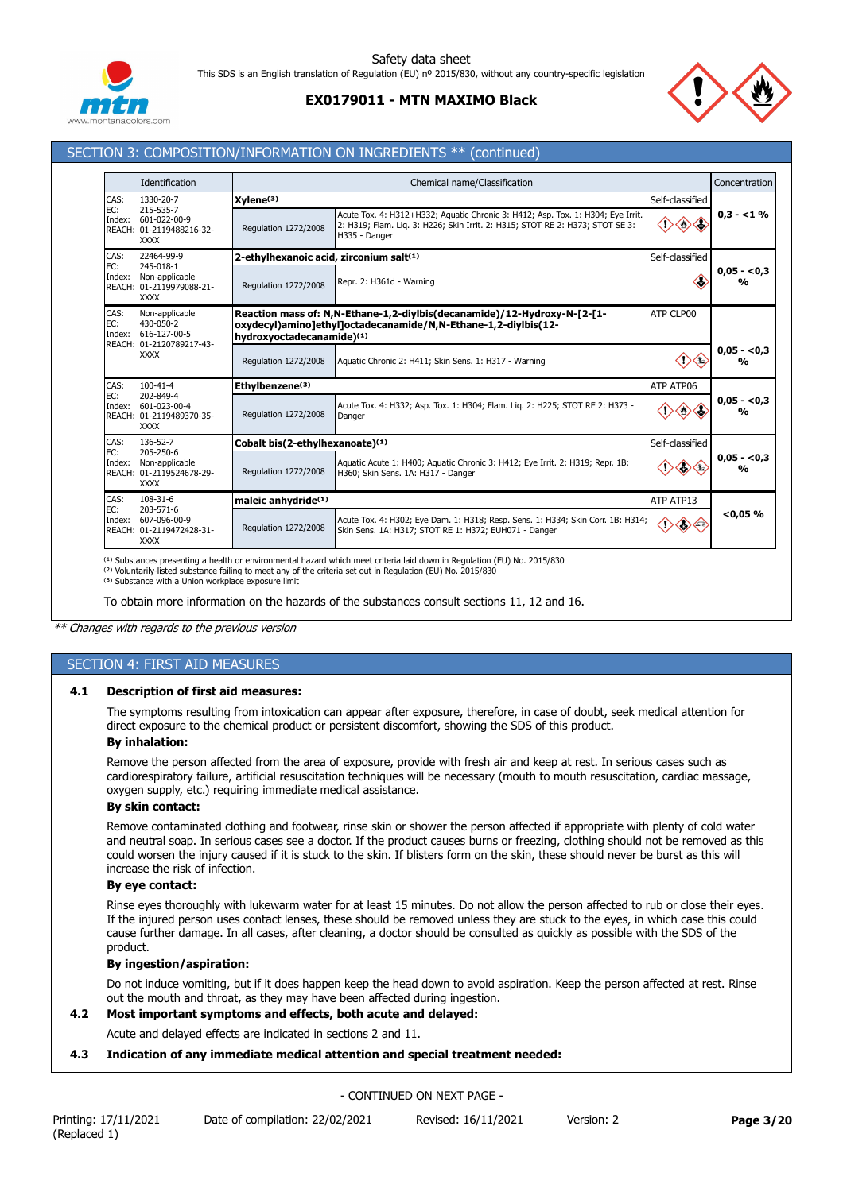

# **EX0179011 - MTN MAXIMO Black**



## SECTION 3: COMPOSITION/INFORMATION ON INGREDIENTS \*\* (continued)

|                                                                                         | Identification                                                         |                                         | Chemical name/Classification                                                                                                                                                      |                          | Concentration                             |
|-----------------------------------------------------------------------------------------|------------------------------------------------------------------------|-----------------------------------------|-----------------------------------------------------------------------------------------------------------------------------------------------------------------------------------|--------------------------|-------------------------------------------|
| CAS:                                                                                    | 1330-20-7                                                              | $X$ ylene $(3)$                         |                                                                                                                                                                                   | Self-classified          |                                           |
| EC:<br>Index:                                                                           | 215-535-7<br>601-022-00-9<br>REACH: 01-2119488216-32-<br><b>XXXX</b>   | Regulation 1272/2008                    | Acute Tox. 4: H312+H332; Aquatic Chronic 3: H412; Asp. Tox. 1: H304; Eye Irrit.<br>2: H319; Flam. Lig. 3: H226; Skin Irrit. 2: H315; STOT RE 2: H373; STOT SE 3:<br>H335 - Danger | $\Leftrightarrow$<br>KV) | $0.3 - 1\%$                               |
| CAS:                                                                                    | 22464-99-9                                                             | 2-ethylhexanoic acid, zirconium salt(1) |                                                                                                                                                                                   | Self-classified          |                                           |
| EC:<br>245-018-1<br>Index:<br>Non-applicable<br>REACH: 01-2119979088-21-<br><b>XXXX</b> |                                                                        | Regulation 1272/2008                    | Repr. 2: H361d - Warning                                                                                                                                                          | Ĉ.                       | $0,05 - 0,3$<br>$\mathbf{v}_{\mathbf{0}}$ |
| CAS:<br>EC:<br>Index:                                                                   | Non-applicable<br>430-050-2<br>616-127-00-5                            | hydroxyoctadecanamide)(1)               | Reaction mass of: N, N-Ethane-1, 2-diylbis (decanamide) / 12-Hydroxy-N-[2-[1-<br>oxydecyl)amino]ethyl]octadecanamide/N,N-Ethane-1,2-diylbis(12-                                   | ATP CLP00                |                                           |
| REACH: 01-2120789217-43-<br><b>XXXX</b>                                                 |                                                                        | <b>Regulation 1272/2008</b>             | Aquatic Chronic 2: H411; Skin Sens. 1: H317 - Warning                                                                                                                             | ('>                      | $0.05 - 0.3$<br>%                         |
| CAS:                                                                                    | $100 - 41 - 4$                                                         | Ethylbenzene(3)                         |                                                                                                                                                                                   | ATP ATP06                |                                           |
| EC:<br>Index:                                                                           | 202-849-4<br>601-023-00-4<br>REACH: 01-2119489370-35-<br><b>XXXX</b>   | <b>Regulation 1272/2008</b>             | Acute Tox. 4: H332; Asp. Tox. 1: H304; Flam. Lig. 2: H225; STOT RE 2: H373 -<br>Danger                                                                                            | ◇                        | $0,05 - 0,3$<br>$\mathbf{v}_{\mathbf{0}}$ |
| CAS:                                                                                    | 136-52-7                                                               | Cobalt bis(2-ethylhexanoate)(1)         |                                                                                                                                                                                   | Self-classified          |                                           |
| EC:<br>Index:                                                                           | 205-250-6<br>Non-applicable<br>REACH: 01-2119524678-29-<br><b>XXXX</b> | Regulation 1272/2008                    | Aquatic Acute 1: H400; Aquatic Chronic 3: H412; Eye Irrit. 2: H319; Repr. 1B:<br>H360; Skin Sens. 1A: H317 - Danger                                                               | ◇                        | $0.05 - 0.3$<br>$\frac{0}{0}$             |
| CAS:                                                                                    | 108-31-6                                                               | maleic anhydride <sup>(1)</sup>         |                                                                                                                                                                                   | ATP ATP13                |                                           |
| EC:<br>Index:                                                                           | 203-571-6<br>607-096-00-9<br>REACH: 01-2119472428-31-<br><b>XXXX</b>   | Regulation 1272/2008                    | Acute Tox. 4: H302; Eye Dam. 1: H318; Resp. Sens. 1: H334; Skin Corr. 1B: H314;<br>Skin Sens. 1A: H317; STOT RE 1: H372; EUH071 - Danger                                          | ◇€<br>$\Diamond$         | < 0.05 %                                  |

<sup>(1)</sup> Substances presenting a health or environmental hazard which meet criteria laid down in Regulation (EU) No. 2015/830<br><sup>(2)</sup> Voluntarily-listed substance failing to meet any of the criteria set out in Regulation (EU) N

<sup>(3)</sup> Substance with a Union workplace exposure limit

To obtain more information on the hazards of the substances consult sections 11, 12 and 16.

*\*\* Changes with regards to the previous version*

# SECTION 4: FIRST AID MEASURES

### **4.1 Description of first aid measures:**

The symptoms resulting from intoxication can appear after exposure, therefore, in case of doubt, seek medical attention for direct exposure to the chemical product or persistent discomfort, showing the SDS of this product.

# **By inhalation:**

Remove the person affected from the area of exposure, provide with fresh air and keep at rest. In serious cases such as cardiorespiratory failure, artificial resuscitation techniques will be necessary (mouth to mouth resuscitation, cardiac massage, oxygen supply, etc.) requiring immediate medical assistance.

## **By skin contact:**

Remove contaminated clothing and footwear, rinse skin or shower the person affected if appropriate with plenty of cold water and neutral soap. In serious cases see a doctor. If the product causes burns or freezing, clothing should not be removed as this could worsen the injury caused if it is stuck to the skin. If blisters form on the skin, these should never be burst as this will increase the risk of infection.

#### **By eye contact:**

Rinse eyes thoroughly with lukewarm water for at least 15 minutes. Do not allow the person affected to rub or close their eyes. If the injured person uses contact lenses, these should be removed unless they are stuck to the eyes, in which case this could cause further damage. In all cases, after cleaning, a doctor should be consulted as quickly as possible with the SDS of the product.

#### **By ingestion/aspiration:**

Do not induce vomiting, but if it does happen keep the head down to avoid aspiration. Keep the person affected at rest. Rinse out the mouth and throat, as they may have been affected during ingestion.

# **4.2 Most important symptoms and effects, both acute and delayed:**

Acute and delayed effects are indicated in sections 2 and 11.

### **4.3 Indication of any immediate medical attention and special treatment needed:**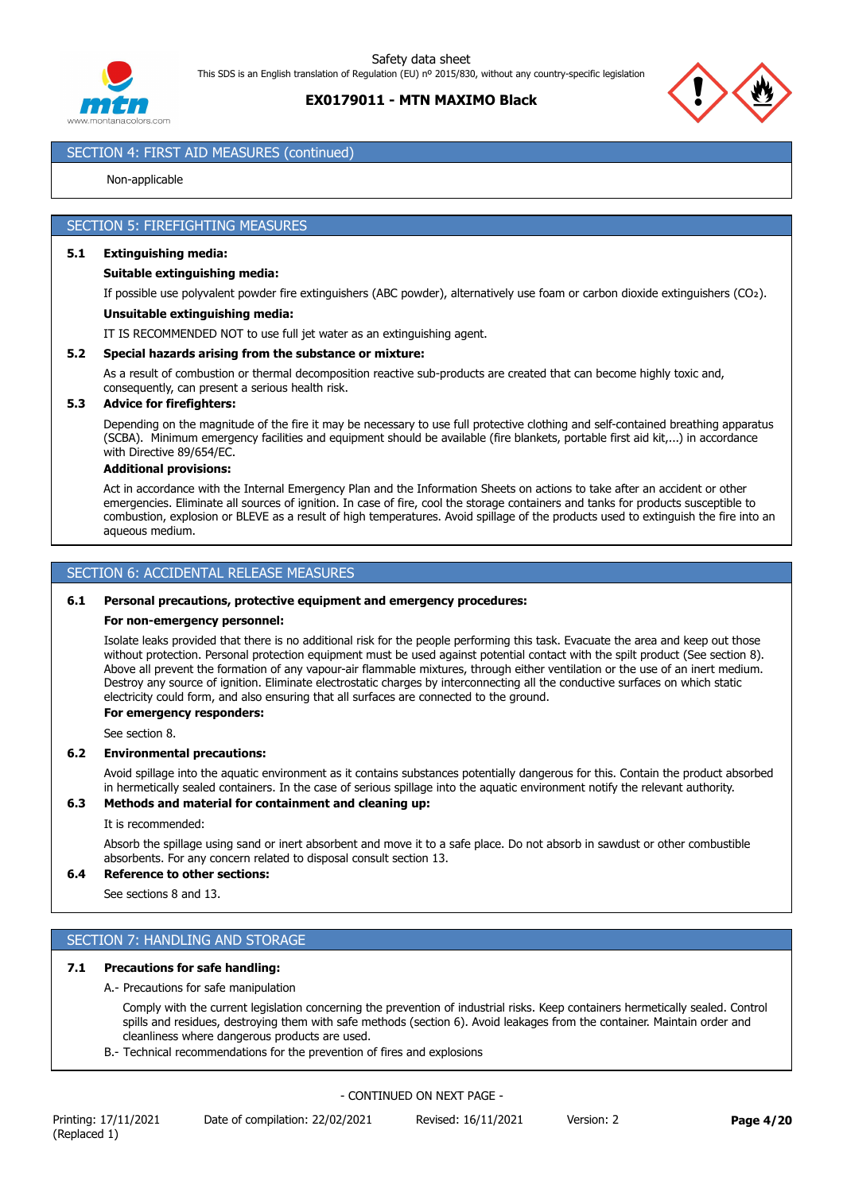



# SECTION 4: FIRST AID MEASURES (continued)

#### Non-applicable

## SECTION 5: FIREFIGHTING MEASURES

#### **5.1 Extinguishing media:**

#### **Suitable extinguishing media:**

If possible use polyvalent powder fire extinguishers (ABC powder), alternatively use foam or carbon dioxide extinguishers (CO₂).

#### **Unsuitable extinguishing media:**

IT IS RECOMMENDED NOT to use full jet water as an extinguishing agent.

#### **5.2 Special hazards arising from the substance or mixture:**

As a result of combustion or thermal decomposition reactive sub-products are created that can become highly toxic and, consequently, can present a serious health risk.

#### **5.3 Advice for firefighters:**

Depending on the magnitude of the fire it may be necessary to use full protective clothing and self-contained breathing apparatus (SCBA). Minimum emergency facilities and equipment should be available (fire blankets, portable first aid kit,...) in accordance with Directive 89/654/EC.

#### **Additional provisions:**

Act in accordance with the Internal Emergency Plan and the Information Sheets on actions to take after an accident or other emergencies. Eliminate all sources of ignition. In case of fire, cool the storage containers and tanks for products susceptible to combustion, explosion or BLEVE as a result of high temperatures. Avoid spillage of the products used to extinguish the fire into an aqueous medium.

## SECTION 6: ACCIDENTAL RELEASE MEASURES

#### **6.1 Personal precautions, protective equipment and emergency procedures:**

#### **For non-emergency personnel:**

Isolate leaks provided that there is no additional risk for the people performing this task. Evacuate the area and keep out those without protection. Personal protection equipment must be used against potential contact with the spilt product (See section 8). Above all prevent the formation of any vapour-air flammable mixtures, through either ventilation or the use of an inert medium. Destroy any source of ignition. Eliminate electrostatic charges by interconnecting all the conductive surfaces on which static electricity could form, and also ensuring that all surfaces are connected to the ground.

# **For emergency responders:**

See section 8.

#### **6.2 Environmental precautions:**

Avoid spillage into the aquatic environment as it contains substances potentially dangerous for this. Contain the product absorbed in hermetically sealed containers. In the case of serious spillage into the aquatic environment notify the relevant authority.

### **6.3 Methods and material for containment and cleaning up:**

#### It is recommended:

Absorb the spillage using sand or inert absorbent and move it to a safe place. Do not absorb in sawdust or other combustible absorbents. For any concern related to disposal consult section 13.

## **6.4 Reference to other sections:**

See sections 8 and 13.

# SECTION 7: HANDLING AND STORAGE

### **7.1 Precautions for safe handling:**

#### A.- Precautions for safe manipulation

Comply with the current legislation concerning the prevention of industrial risks. Keep containers hermetically sealed. Control spills and residues, destroying them with safe methods (section 6). Avoid leakages from the container. Maintain order and cleanliness where dangerous products are used.

B.- Technical recommendations for the prevention of fires and explosions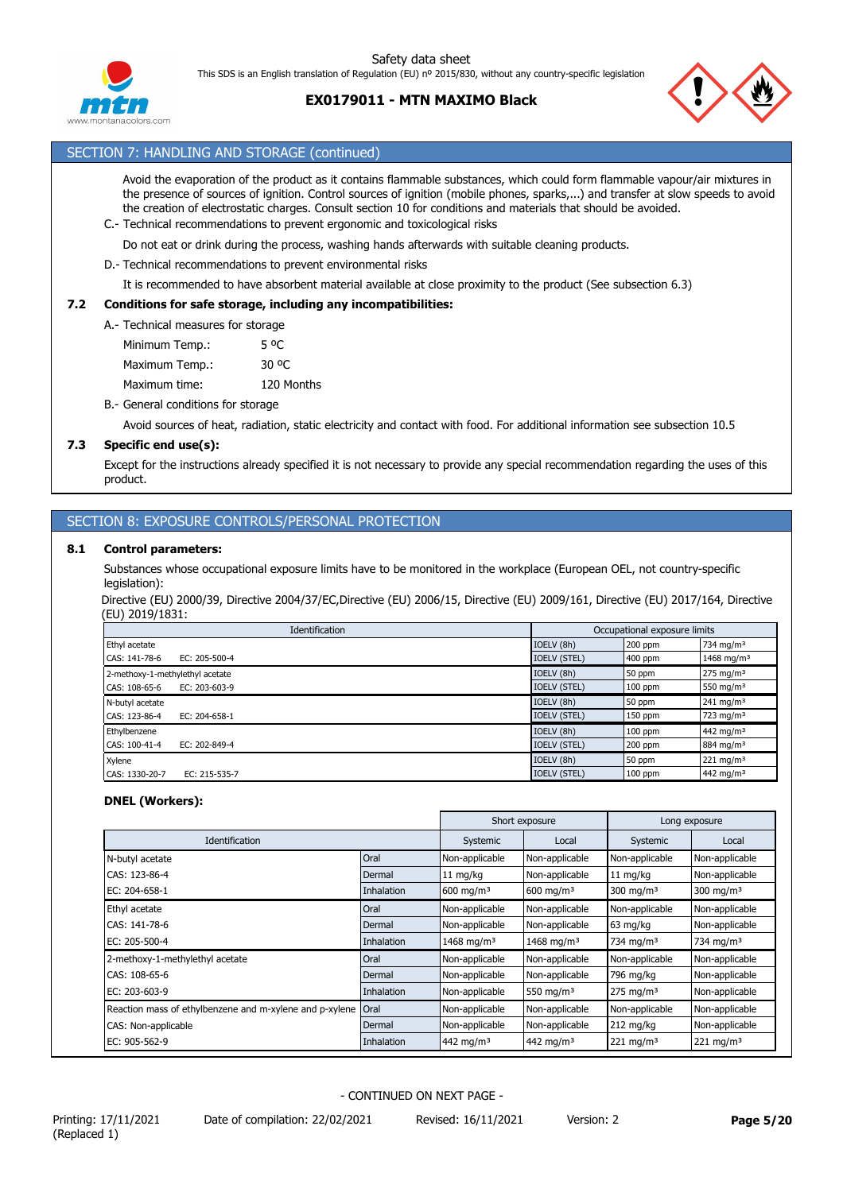



Safety data sheet



# SECTION 7: HANDLING AND STORAGE (continued)

Avoid the evaporation of the product as it contains flammable substances, which could form flammable vapour/air mixtures in the presence of sources of ignition. Control sources of ignition (mobile phones, sparks,...) and transfer at slow speeds to avoid the creation of electrostatic charges. Consult section 10 for conditions and materials that should be avoided. C.- Technical recommendations to prevent ergonomic and toxicological risks

- Do not eat or drink during the process, washing hands afterwards with suitable cleaning products.
- D.- Technical recommendations to prevent environmental risks

It is recommended to have absorbent material available at close proximity to the product (See subsection 6.3)

#### **7.2 Conditions for safe storage, including any incompatibilities:**

A.- Technical measures for storage

- Minimum Temp.: 5 °C Maximum Temp.: 30 °C Maximum time: 120 Months
- B.- General conditions for storage

Avoid sources of heat, radiation, static electricity and contact with food. For additional information see subsection 10.5

#### **7.3 Specific end use(s):**

Except for the instructions already specified it is not necessary to provide any special recommendation regarding the uses of this product.

## SECTION 8: EXPOSURE CONTROLS/PERSONAL PROTECTION

### **8.1 Control parameters:**

Substances whose occupational exposure limits have to be monitored in the workplace (European OEL, not country-specific legislation):

Directive (EU) 2000/39, Directive 2004/37/EC,Directive (EU) 2006/15, Directive (EU) 2009/161, Directive (EU) 2017/164, Directive (EU) 2019/1831:

| Identification                       |                     | Occupational exposure limits |                        |  |
|--------------------------------------|---------------------|------------------------------|------------------------|--|
| Ethyl acetate                        | IOELV (8h)          | 200 ppm                      | 734 mg/m <sup>3</sup>  |  |
| CAS: 141-78-6<br>EC: 205-500-4       | <b>IOELV (STEL)</b> | 400 ppm                      | 1468 mg/m <sup>3</sup> |  |
| 2-methoxy-1-methylethyl acetate      | IOELV (8h)          | 50 ppm                       | $275 \text{ mg/m}^3$   |  |
| CAS: 108-65-6<br>EC: $203 - 603 - 9$ | <b>IOELV (STEL)</b> | $100$ ppm                    | 550 mg/m $3$           |  |
| N-butyl acetate                      | IOELV (8h)          | 50 ppm                       | $241 \text{ mg/m}^3$   |  |
| CAS: 123-86-4<br>EC: 204-658-1       | <b>IOELV (STEL)</b> | $150$ ppm                    | 723 mg/m <sup>3</sup>  |  |
| Ethylbenzene                         | IOELV (8h)          | $100$ ppm                    | 442 mg/m <sup>3</sup>  |  |
| CAS: 100-41-4<br>EC: 202-849-4       | <b>IOELV (STEL)</b> | $200$ ppm                    | 884 mg/m <sup>3</sup>  |  |
| Xylene                               | IOELV (8h)          | 50 ppm                       | 221 mg/m $3$           |  |
| CAS: 1330-20-7<br>EC: 215-535-7      | <b>IOELV (STEL)</b> | $100$ ppm                    | 442 mg/m <sup>3</sup>  |  |

#### **DNEL (Workers):**

|                                                         |                   |                        | Short exposure<br>Long exposure |                         |                         |
|---------------------------------------------------------|-------------------|------------------------|---------------------------------|-------------------------|-------------------------|
| Identification                                          |                   | Systemic               | Local                           | Systemic                | Local                   |
| N-butyl acetate                                         | Oral              | Non-applicable         | Non-applicable                  | Non-applicable          | Non-applicable          |
| CAS: 123-86-4                                           | Dermal            | $11 \text{ mg/kg}$     | Non-applicable                  | $11 \text{ mg/kg}$      | Non-applicable          |
| EC: 204-658-1                                           | <b>Inhalation</b> | $600 \text{ mg/m}^3$   | $600 \; \text{mg/m}^3$          | 300 mg/m $3$            | 300 mg/m $3$            |
| Ethyl acetate                                           | Oral              | Non-applicable         | Non-applicable                  | Non-applicable          | Non-applicable          |
| CAS: 141-78-6                                           | Dermal            | Non-applicable         | Non-applicable                  | 63 mg/kg                | Non-applicable          |
| EC: 205-500-4                                           | <b>Inhalation</b> | 1468 mg/m <sup>3</sup> | 1468 mg/m <sup>3</sup>          | 734 mg/m <sup>3</sup>   | 734 mg/m <sup>3</sup>   |
| 2-methoxy-1-methylethyl acetate                         | Oral              | Non-applicable         | Non-applicable                  | Non-applicable          | Non-applicable          |
| CAS: 108-65-6                                           | Dermal            | Non-applicable         | Non-applicable                  | 796 mg/kg               | Non-applicable          |
| EC: $203 - 603 - 9$                                     | <b>Inhalation</b> | Non-applicable         | 550 mg/m <sup>3</sup>           | $275 \text{ mg/m}^3$    | Non-applicable          |
| Reaction mass of ethylbenzene and m-xylene and p-xylene | Oral              | Non-applicable         | Non-applicable                  | Non-applicable          | Non-applicable          |
| CAS: Non-applicable                                     | Dermal            | Non-applicable         | Non-applicable                  | $212$ mg/kg             | Non-applicable          |
| EC: 905-562-9                                           | <b>Inhalation</b> | 442 mg/m <sup>3</sup>  | 442 mg/m <sup>3</sup>           | $221$ mg/m <sup>3</sup> | $221$ mg/m <sup>3</sup> |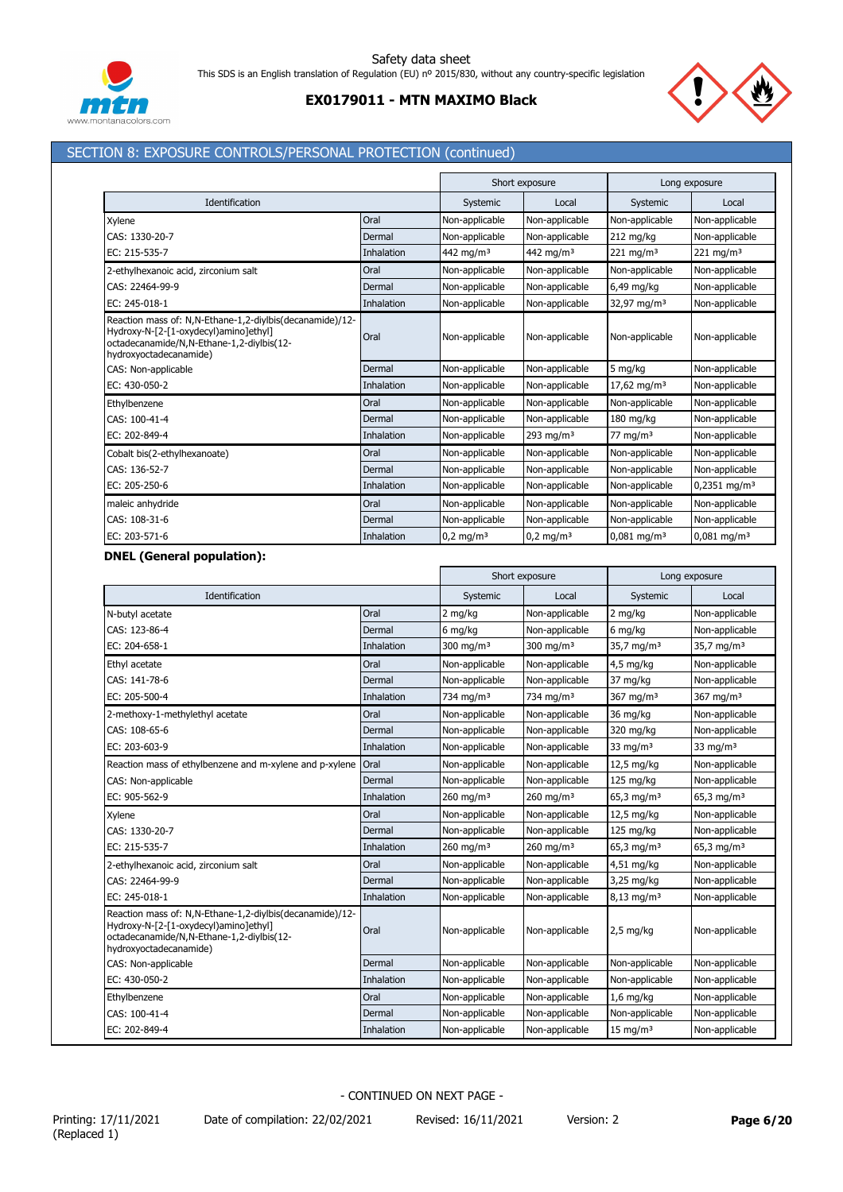

# **EX0179011 - MTN MAXIMO Black**



# SECTION 8: EXPOSURE CONTROLS/PERSONAL PROTECTION (continued)

|                                                                                                                                                                          |                   |                         | Short exposure       |                           | Long exposure             |
|--------------------------------------------------------------------------------------------------------------------------------------------------------------------------|-------------------|-------------------------|----------------------|---------------------------|---------------------------|
| Identification                                                                                                                                                           |                   | Systemic                | Local                | Systemic                  | Local                     |
| Xylene                                                                                                                                                                   | Oral              | Non-applicable          | Non-applicable       | Non-applicable            | Non-applicable            |
| CAS: 1330-20-7                                                                                                                                                           | Dermal            | Non-applicable          | Non-applicable       | $212$ mg/kg               | Non-applicable            |
| EC: 215-535-7                                                                                                                                                            | Inhalation        | $442$ ma/m <sup>3</sup> | 442 ma/m $3$         | $221 \text{ ma/m}^3$      | $221 \text{ ma/m}^3$      |
| 2-ethylhexanoic acid, zirconium salt                                                                                                                                     | Oral              | Non-applicable          | Non-applicable       | Non-applicable            | Non-applicable            |
| CAS: 22464-99-9                                                                                                                                                          | Dermal            | Non-applicable          | Non-applicable       | 6,49 mg/kg                | Non-applicable            |
| EC: 245-018-1                                                                                                                                                            | <b>Inhalation</b> | Non-applicable          | Non-applicable       | 32,97 mg/m <sup>3</sup>   | Non-applicable            |
| Reaction mass of: N,N-Ethane-1,2-diylbis(decanamide)/12-<br>Hydroxy-N-[2-[1-oxydecyl)amino]ethyl]<br>octadecanamide/N,N-Ethane-1,2-diylbis(12-<br>hydroxyoctadecanamide) | Oral              | Non-applicable          | Non-applicable       | Non-applicable            | Non-applicable            |
| CAS: Non-applicable                                                                                                                                                      | Dermal            | Non-applicable          | Non-applicable       | 5 mg/kg                   | Non-applicable            |
| EC: 430-050-2                                                                                                                                                            | Inhalation        | Non-applicable          | Non-applicable       | 17,62 mg/m <sup>3</sup>   | Non-applicable            |
| Ethylbenzene                                                                                                                                                             | Oral              | Non-applicable          | Non-applicable       | Non-applicable            | Non-applicable            |
| CAS: 100-41-4                                                                                                                                                            | Dermal            | Non-applicable          | Non-applicable       | 180 mg/kg                 | Non-applicable            |
| EC: 202-849-4                                                                                                                                                            | Inhalation        | Non-applicable          | 293 mg/m $3$         | $77 \text{ mg/m}^3$       | Non-applicable            |
| Cobalt bis(2-ethylhexanoate)                                                                                                                                             | Oral              | Non-applicable          | Non-applicable       | Non-applicable            | Non-applicable            |
| CAS: 136-52-7                                                                                                                                                            | Dermal            | Non-applicable          | Non-applicable       | Non-applicable            | Non-applicable            |
| EC: 205-250-6                                                                                                                                                            | <b>Inhalation</b> | Non-applicable          | Non-applicable       | Non-applicable            | $0,2351 \text{ mg/m}^3$   |
| maleic anhydride                                                                                                                                                         | Oral              | Non-applicable          | Non-applicable       | Non-applicable            | Non-applicable            |
| CAS: 108-31-6                                                                                                                                                            | Dermal            | Non-applicable          | Non-applicable       | Non-applicable            | Non-applicable            |
| EC: 203-571-6                                                                                                                                                            | Inhalation        | $0.2 \text{ mg/m}^3$    | $0.2 \text{ mg/m}^3$ | $0,081$ mg/m <sup>3</sup> | $0.081$ mg/m <sup>3</sup> |

### **DNEL (General population):**

|                                                                                                                                                                          |            |                         | Short exposure<br>Long exposure |                          |                        |
|--------------------------------------------------------------------------------------------------------------------------------------------------------------------------|------------|-------------------------|---------------------------------|--------------------------|------------------------|
| Identification                                                                                                                                                           |            | Systemic                | Local                           | Systemic                 | Local                  |
| N-butyl acetate                                                                                                                                                          | Oral       | 2 mg/kg                 | Non-applicable                  | 2 mg/kg                  | Non-applicable         |
| CAS: 123-86-4                                                                                                                                                            | Dermal     | 6 mg/kg                 | Non-applicable                  | 6 mg/kg                  | Non-applicable         |
| EC: 204-658-1                                                                                                                                                            | Inhalation | 300 mg/m $3$            | 300 mg/m $3$                    | 35,7 mg/m <sup>3</sup>   | 35,7 mg/m <sup>3</sup> |
| Ethyl acetate                                                                                                                                                            | Oral       | Non-applicable          | Non-applicable                  | $4,5$ mg/kg              | Non-applicable         |
| CAS: 141-78-6                                                                                                                                                            | Dermal     | Non-applicable          | Non-applicable                  | 37 mg/kg                 | Non-applicable         |
| EC: 205-500-4                                                                                                                                                            | Inhalation | 734 mg/m <sup>3</sup>   | 734 mg/m <sup>3</sup>           | 367 mg/m $3$             | 367 mg/m $3$           |
| 2-methoxy-1-methylethyl acetate                                                                                                                                          | Oral       | Non-applicable          | Non-applicable                  | 36 mg/kg                 | Non-applicable         |
| CAS: 108-65-6                                                                                                                                                            | Dermal     | Non-applicable          | Non-applicable                  | 320 mg/kg                | Non-applicable         |
| EC: 203-603-9                                                                                                                                                            | Inhalation | Non-applicable          | Non-applicable                  | 33 mg/m $3$              | 33 mg/m $3$            |
| Reaction mass of ethylbenzene and m-xylene and p-xylene Oral                                                                                                             |            | Non-applicable          | Non-applicable                  | 12,5 mg/kg               | Non-applicable         |
| CAS: Non-applicable                                                                                                                                                      | Dermal     | Non-applicable          | Non-applicable                  | 125 mg/kg                | Non-applicable         |
| EC: 905-562-9                                                                                                                                                            | Inhalation | $260$ mg/m <sup>3</sup> | $260 \; \text{mg/m}^3$          | 65,3 mg/m <sup>3</sup>   | 65,3 mg/m <sup>3</sup> |
| Xylene                                                                                                                                                                   | Oral       | Non-applicable          | Non-applicable                  | 12,5 mg/kg               | Non-applicable         |
| CAS: 1330-20-7                                                                                                                                                           | Dermal     | Non-applicable          | Non-applicable                  | 125 mg/kg                | Non-applicable         |
| EC: 215-535-7                                                                                                                                                            | Inhalation | 260 mg/m $3$            | 260 mg/m $3$                    | 65,3 mg/m <sup>3</sup>   | 65,3 mg/m <sup>3</sup> |
| 2-ethylhexanoic acid, zirconium salt                                                                                                                                     | Oral       | Non-applicable          | Non-applicable                  | 4,51 mg/kg               | Non-applicable         |
| CAS: 22464-99-9                                                                                                                                                          | Dermal     | Non-applicable          | Non-applicable                  | 3,25 mg/kg               | Non-applicable         |
| EC: 245-018-1                                                                                                                                                            | Inhalation | Non-applicable          | Non-applicable                  | $8,13$ mg/m <sup>3</sup> | Non-applicable         |
| Reaction mass of: N,N-Ethane-1,2-divlbis(decanamide)/12-<br>Hydroxy-N-[2-[1-oxydecyl)amino]ethyl]<br>octadecanamide/N,N-Ethane-1,2-diylbis(12-<br>hydroxyoctadecanamide) | Oral       | Non-applicable          | Non-applicable                  | $2,5$ mg/kg              | Non-applicable         |
| CAS: Non-applicable                                                                                                                                                      | Dermal     | Non-applicable          | Non-applicable                  | Non-applicable           | Non-applicable         |
| EC: 430-050-2                                                                                                                                                            | Inhalation | Non-applicable          | Non-applicable                  | Non-applicable           | Non-applicable         |
| Ethylbenzene                                                                                                                                                             | Oral       | Non-applicable          | Non-applicable                  | $1,6$ mg/kg              | Non-applicable         |
| CAS: 100-41-4                                                                                                                                                            | Dermal     | Non-applicable          | Non-applicable                  | Non-applicable           | Non-applicable         |
| EC: 202-849-4                                                                                                                                                            | Inhalation | Non-applicable          | Non-applicable                  | $15 \text{ mg/m}^3$      | Non-applicable         |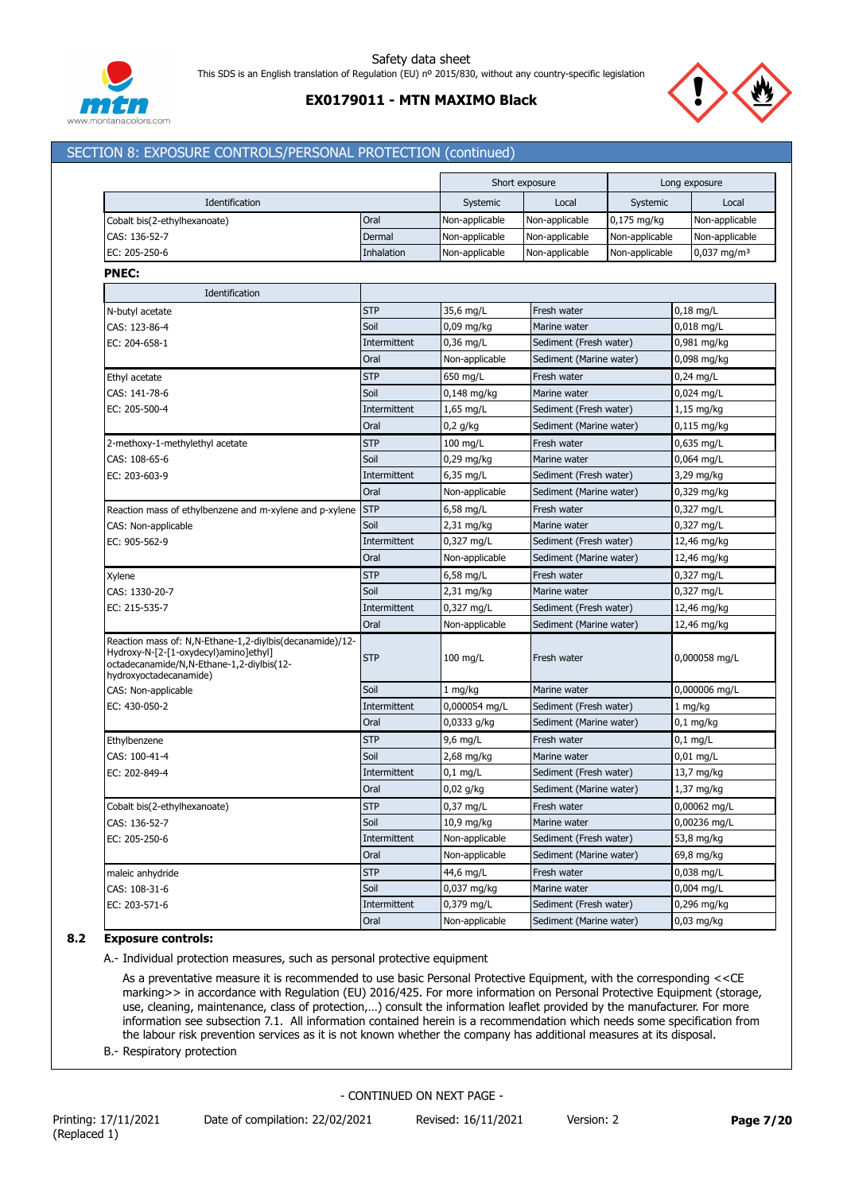

# **EX0179011 - MTN MAXIMO Black**



## SECTION 8: EXPOSURE CONTROLS/PERSONAL PROTECTION (continued)

| Identification<br>Systemic<br>Local<br>Systemic<br>Local<br>Oral<br>Non-applicable<br>Non-applicable<br>$0,175$ mg/kg<br>Non-applicable<br>Non-applicable<br>Dermal<br>Non-applicable<br>Non-applicable<br>Non-applicable<br>Inhalation<br>Non-applicable<br>Non-applicable<br>Non-applicable<br>$0,037$ mg/m <sup>3</sup><br>Identification<br><b>STP</b><br>35,6 mg/L<br>Fresh water<br>$0,18$ mg/L<br>Soil<br>$0,09$ mg/kg<br>0,018 mg/L<br>Marine water<br>$0,36$ mg/L<br>0,981 mg/kg<br>Intermittent<br>Sediment (Fresh water)<br>Oral<br>Non-applicable<br>0,098 mg/kg<br>Sediment (Marine water)<br><b>STP</b><br>650 mg/L<br>$0,24$ mg/L<br>Fresh water<br>Soil<br>0,148 mg/kg<br>0,024 mg/L<br>Marine water<br>Intermittent<br>$1,65$ mg/L<br>Sediment (Fresh water)<br>1,15 mg/kg<br>Oral<br>$0,2$ g/kg<br>Sediment (Marine water)<br>0,115 mg/kg<br><b>STP</b><br>$100$ mg/L<br>Fresh water<br>0,635 mg/L<br>2-methoxy-1-methylethyl acetate<br>Soil<br>$0,29$ mg/kg<br>0,064 mg/L<br>CAS: 108-65-6<br>Marine water<br>EC: 203-603-9<br>Intermittent<br>$6,35$ mg/L<br>Sediment (Fresh water)<br>3,29 mg/kg<br>Oral<br>Non-applicable<br>0,329 mg/kg<br>Sediment (Marine water)<br>Reaction mass of ethylbenzene and m-xylene and p-xylene STP<br>$6,58$ mg/L<br>Fresh water<br>0,327 mg/L<br>Soil<br>$2,31$ mg/kg<br>Marine water<br>0,327 mg/L<br>CAS: Non-applicable<br>EC: 905-562-9<br>Intermittent<br>0,327 mg/L<br>12,46 mg/kg<br>Sediment (Fresh water)<br>Oral<br>Non-applicable<br>Sediment (Marine water)<br>12,46 mg/kg<br><b>STP</b><br>0,327 mg/L<br>6,58 mg/L<br>Fresh water<br>Xylene<br>Soil<br>$2,31$ mg/kg<br>Marine water<br>0,327 mg/L<br>CAS: 1330-20-7<br>Intermittent<br>0,327 mg/L<br>12,46 mg/kg<br>EC: 215-535-7<br>Sediment (Fresh water)<br>Oral<br>Non-applicable<br>Sediment (Marine water)<br>12,46 mg/kg<br><b>STP</b><br>$100$ mg/L<br>Fresh water<br>0,000058 mg/L<br>hydroxyoctadecanamide)<br>Soil<br>0,000006 mg/L<br>$1$ mg/kg<br>Marine water<br>CAS: Non-applicable<br>0,000054 mg/L<br>Intermittent<br>Sediment (Fresh water)<br>1 mg/kg<br>Oral<br>$0,0333$ g/kg<br>Sediment (Marine water)<br>0,1 mg/kg<br><b>STP</b><br>$9,6$ mg/L<br>Fresh water<br>$0,1$ mg/L<br>Ethylbenzene<br>Soil<br>$2,68$ mg/kg<br>0,01 mg/L<br>Marine water<br>Intermittent<br>$0,1$ mg/L<br>Sediment (Fresh water)<br>13,7 mg/kg<br>Oral<br>$0,02$ g/kg<br>Sediment (Marine water)<br>1,37 mg/kg<br>0,37 mg/L<br>0,00062 mg/L<br>Cobalt bis(2-ethylhexanoate)<br><b>SIP</b><br>Fresh water<br>Soil<br>0,00236 mg/L<br>10,9 mg/kg<br>Marine water<br>Non-applicable<br>53,8 mg/kg<br>Intermittent<br>Sediment (Fresh water)<br>Oral<br>Non-applicable<br>Sediment (Marine water)<br>69,8 mg/kg<br><b>STP</b><br>44,6 mg/L<br>0,038 mg/L<br>maleic anhydride<br>Fresh water<br>0,037 mg/kg<br>0,004 mg/L<br>CAS: 108-31-6<br>Soil<br>Marine water<br>Intermittent<br>0,379 mg/L<br>0,296 mg/kg<br>EC: 203-571-6<br>Sediment (Fresh water)<br>Sediment (Marine water) |                                                                                                                                                |      |                | Short exposure | Long exposure |
|------------------------------------------------------------------------------------------------------------------------------------------------------------------------------------------------------------------------------------------------------------------------------------------------------------------------------------------------------------------------------------------------------------------------------------------------------------------------------------------------------------------------------------------------------------------------------------------------------------------------------------------------------------------------------------------------------------------------------------------------------------------------------------------------------------------------------------------------------------------------------------------------------------------------------------------------------------------------------------------------------------------------------------------------------------------------------------------------------------------------------------------------------------------------------------------------------------------------------------------------------------------------------------------------------------------------------------------------------------------------------------------------------------------------------------------------------------------------------------------------------------------------------------------------------------------------------------------------------------------------------------------------------------------------------------------------------------------------------------------------------------------------------------------------------------------------------------------------------------------------------------------------------------------------------------------------------------------------------------------------------------------------------------------------------------------------------------------------------------------------------------------------------------------------------------------------------------------------------------------------------------------------------------------------------------------------------------------------------------------------------------------------------------------------------------------------------------------------------------------------------------------------------------------------------------------------------------------------------------------------------------------------------------------------------------------------------------------------------------------------------------------------------------------------------------------------------------------------------------------------------------------------------------------------------------------------------------------------------------------------------|------------------------------------------------------------------------------------------------------------------------------------------------|------|----------------|----------------|---------------|
|                                                                                                                                                                                                                                                                                                                                                                                                                                                                                                                                                                                                                                                                                                                                                                                                                                                                                                                                                                                                                                                                                                                                                                                                                                                                                                                                                                                                                                                                                                                                                                                                                                                                                                                                                                                                                                                                                                                                                                                                                                                                                                                                                                                                                                                                                                                                                                                                                                                                                                                                                                                                                                                                                                                                                                                                                                                                                                                                                                                                      |                                                                                                                                                |      |                |                |               |
|                                                                                                                                                                                                                                                                                                                                                                                                                                                                                                                                                                                                                                                                                                                                                                                                                                                                                                                                                                                                                                                                                                                                                                                                                                                                                                                                                                                                                                                                                                                                                                                                                                                                                                                                                                                                                                                                                                                                                                                                                                                                                                                                                                                                                                                                                                                                                                                                                                                                                                                                                                                                                                                                                                                                                                                                                                                                                                                                                                                                      | Cobalt bis(2-ethylhexanoate)                                                                                                                   |      |                |                |               |
|                                                                                                                                                                                                                                                                                                                                                                                                                                                                                                                                                                                                                                                                                                                                                                                                                                                                                                                                                                                                                                                                                                                                                                                                                                                                                                                                                                                                                                                                                                                                                                                                                                                                                                                                                                                                                                                                                                                                                                                                                                                                                                                                                                                                                                                                                                                                                                                                                                                                                                                                                                                                                                                                                                                                                                                                                                                                                                                                                                                                      | CAS: 136-52-7                                                                                                                                  |      |                |                |               |
|                                                                                                                                                                                                                                                                                                                                                                                                                                                                                                                                                                                                                                                                                                                                                                                                                                                                                                                                                                                                                                                                                                                                                                                                                                                                                                                                                                                                                                                                                                                                                                                                                                                                                                                                                                                                                                                                                                                                                                                                                                                                                                                                                                                                                                                                                                                                                                                                                                                                                                                                                                                                                                                                                                                                                                                                                                                                                                                                                                                                      | EC: 205-250-6                                                                                                                                  |      |                |                |               |
|                                                                                                                                                                                                                                                                                                                                                                                                                                                                                                                                                                                                                                                                                                                                                                                                                                                                                                                                                                                                                                                                                                                                                                                                                                                                                                                                                                                                                                                                                                                                                                                                                                                                                                                                                                                                                                                                                                                                                                                                                                                                                                                                                                                                                                                                                                                                                                                                                                                                                                                                                                                                                                                                                                                                                                                                                                                                                                                                                                                                      | <b>PNEC:</b>                                                                                                                                   |      |                |                |               |
|                                                                                                                                                                                                                                                                                                                                                                                                                                                                                                                                                                                                                                                                                                                                                                                                                                                                                                                                                                                                                                                                                                                                                                                                                                                                                                                                                                                                                                                                                                                                                                                                                                                                                                                                                                                                                                                                                                                                                                                                                                                                                                                                                                                                                                                                                                                                                                                                                                                                                                                                                                                                                                                                                                                                                                                                                                                                                                                                                                                                      |                                                                                                                                                |      |                |                |               |
|                                                                                                                                                                                                                                                                                                                                                                                                                                                                                                                                                                                                                                                                                                                                                                                                                                                                                                                                                                                                                                                                                                                                                                                                                                                                                                                                                                                                                                                                                                                                                                                                                                                                                                                                                                                                                                                                                                                                                                                                                                                                                                                                                                                                                                                                                                                                                                                                                                                                                                                                                                                                                                                                                                                                                                                                                                                                                                                                                                                                      | N-butyl acetate                                                                                                                                |      |                |                |               |
|                                                                                                                                                                                                                                                                                                                                                                                                                                                                                                                                                                                                                                                                                                                                                                                                                                                                                                                                                                                                                                                                                                                                                                                                                                                                                                                                                                                                                                                                                                                                                                                                                                                                                                                                                                                                                                                                                                                                                                                                                                                                                                                                                                                                                                                                                                                                                                                                                                                                                                                                                                                                                                                                                                                                                                                                                                                                                                                                                                                                      | CAS: 123-86-4                                                                                                                                  |      |                |                |               |
|                                                                                                                                                                                                                                                                                                                                                                                                                                                                                                                                                                                                                                                                                                                                                                                                                                                                                                                                                                                                                                                                                                                                                                                                                                                                                                                                                                                                                                                                                                                                                                                                                                                                                                                                                                                                                                                                                                                                                                                                                                                                                                                                                                                                                                                                                                                                                                                                                                                                                                                                                                                                                                                                                                                                                                                                                                                                                                                                                                                                      | EC: 204-658-1                                                                                                                                  |      |                |                |               |
|                                                                                                                                                                                                                                                                                                                                                                                                                                                                                                                                                                                                                                                                                                                                                                                                                                                                                                                                                                                                                                                                                                                                                                                                                                                                                                                                                                                                                                                                                                                                                                                                                                                                                                                                                                                                                                                                                                                                                                                                                                                                                                                                                                                                                                                                                                                                                                                                                                                                                                                                                                                                                                                                                                                                                                                                                                                                                                                                                                                                      |                                                                                                                                                |      |                |                |               |
|                                                                                                                                                                                                                                                                                                                                                                                                                                                                                                                                                                                                                                                                                                                                                                                                                                                                                                                                                                                                                                                                                                                                                                                                                                                                                                                                                                                                                                                                                                                                                                                                                                                                                                                                                                                                                                                                                                                                                                                                                                                                                                                                                                                                                                                                                                                                                                                                                                                                                                                                                                                                                                                                                                                                                                                                                                                                                                                                                                                                      | Ethyl acetate                                                                                                                                  |      |                |                |               |
|                                                                                                                                                                                                                                                                                                                                                                                                                                                                                                                                                                                                                                                                                                                                                                                                                                                                                                                                                                                                                                                                                                                                                                                                                                                                                                                                                                                                                                                                                                                                                                                                                                                                                                                                                                                                                                                                                                                                                                                                                                                                                                                                                                                                                                                                                                                                                                                                                                                                                                                                                                                                                                                                                                                                                                                                                                                                                                                                                                                                      | CAS: 141-78-6                                                                                                                                  |      |                |                |               |
|                                                                                                                                                                                                                                                                                                                                                                                                                                                                                                                                                                                                                                                                                                                                                                                                                                                                                                                                                                                                                                                                                                                                                                                                                                                                                                                                                                                                                                                                                                                                                                                                                                                                                                                                                                                                                                                                                                                                                                                                                                                                                                                                                                                                                                                                                                                                                                                                                                                                                                                                                                                                                                                                                                                                                                                                                                                                                                                                                                                                      | EC: 205-500-4                                                                                                                                  |      |                |                |               |
|                                                                                                                                                                                                                                                                                                                                                                                                                                                                                                                                                                                                                                                                                                                                                                                                                                                                                                                                                                                                                                                                                                                                                                                                                                                                                                                                                                                                                                                                                                                                                                                                                                                                                                                                                                                                                                                                                                                                                                                                                                                                                                                                                                                                                                                                                                                                                                                                                                                                                                                                                                                                                                                                                                                                                                                                                                                                                                                                                                                                      |                                                                                                                                                |      |                |                |               |
|                                                                                                                                                                                                                                                                                                                                                                                                                                                                                                                                                                                                                                                                                                                                                                                                                                                                                                                                                                                                                                                                                                                                                                                                                                                                                                                                                                                                                                                                                                                                                                                                                                                                                                                                                                                                                                                                                                                                                                                                                                                                                                                                                                                                                                                                                                                                                                                                                                                                                                                                                                                                                                                                                                                                                                                                                                                                                                                                                                                                      |                                                                                                                                                |      |                |                |               |
|                                                                                                                                                                                                                                                                                                                                                                                                                                                                                                                                                                                                                                                                                                                                                                                                                                                                                                                                                                                                                                                                                                                                                                                                                                                                                                                                                                                                                                                                                                                                                                                                                                                                                                                                                                                                                                                                                                                                                                                                                                                                                                                                                                                                                                                                                                                                                                                                                                                                                                                                                                                                                                                                                                                                                                                                                                                                                                                                                                                                      |                                                                                                                                                |      |                |                |               |
|                                                                                                                                                                                                                                                                                                                                                                                                                                                                                                                                                                                                                                                                                                                                                                                                                                                                                                                                                                                                                                                                                                                                                                                                                                                                                                                                                                                                                                                                                                                                                                                                                                                                                                                                                                                                                                                                                                                                                                                                                                                                                                                                                                                                                                                                                                                                                                                                                                                                                                                                                                                                                                                                                                                                                                                                                                                                                                                                                                                                      |                                                                                                                                                |      |                |                |               |
|                                                                                                                                                                                                                                                                                                                                                                                                                                                                                                                                                                                                                                                                                                                                                                                                                                                                                                                                                                                                                                                                                                                                                                                                                                                                                                                                                                                                                                                                                                                                                                                                                                                                                                                                                                                                                                                                                                                                                                                                                                                                                                                                                                                                                                                                                                                                                                                                                                                                                                                                                                                                                                                                                                                                                                                                                                                                                                                                                                                                      |                                                                                                                                                |      |                |                |               |
|                                                                                                                                                                                                                                                                                                                                                                                                                                                                                                                                                                                                                                                                                                                                                                                                                                                                                                                                                                                                                                                                                                                                                                                                                                                                                                                                                                                                                                                                                                                                                                                                                                                                                                                                                                                                                                                                                                                                                                                                                                                                                                                                                                                                                                                                                                                                                                                                                                                                                                                                                                                                                                                                                                                                                                                                                                                                                                                                                                                                      |                                                                                                                                                |      |                |                |               |
|                                                                                                                                                                                                                                                                                                                                                                                                                                                                                                                                                                                                                                                                                                                                                                                                                                                                                                                                                                                                                                                                                                                                                                                                                                                                                                                                                                                                                                                                                                                                                                                                                                                                                                                                                                                                                                                                                                                                                                                                                                                                                                                                                                                                                                                                                                                                                                                                                                                                                                                                                                                                                                                                                                                                                                                                                                                                                                                                                                                                      |                                                                                                                                                |      |                |                |               |
|                                                                                                                                                                                                                                                                                                                                                                                                                                                                                                                                                                                                                                                                                                                                                                                                                                                                                                                                                                                                                                                                                                                                                                                                                                                                                                                                                                                                                                                                                                                                                                                                                                                                                                                                                                                                                                                                                                                                                                                                                                                                                                                                                                                                                                                                                                                                                                                                                                                                                                                                                                                                                                                                                                                                                                                                                                                                                                                                                                                                      |                                                                                                                                                |      |                |                |               |
|                                                                                                                                                                                                                                                                                                                                                                                                                                                                                                                                                                                                                                                                                                                                                                                                                                                                                                                                                                                                                                                                                                                                                                                                                                                                                                                                                                                                                                                                                                                                                                                                                                                                                                                                                                                                                                                                                                                                                                                                                                                                                                                                                                                                                                                                                                                                                                                                                                                                                                                                                                                                                                                                                                                                                                                                                                                                                                                                                                                                      |                                                                                                                                                |      |                |                |               |
|                                                                                                                                                                                                                                                                                                                                                                                                                                                                                                                                                                                                                                                                                                                                                                                                                                                                                                                                                                                                                                                                                                                                                                                                                                                                                                                                                                                                                                                                                                                                                                                                                                                                                                                                                                                                                                                                                                                                                                                                                                                                                                                                                                                                                                                                                                                                                                                                                                                                                                                                                                                                                                                                                                                                                                                                                                                                                                                                                                                                      |                                                                                                                                                |      |                |                |               |
|                                                                                                                                                                                                                                                                                                                                                                                                                                                                                                                                                                                                                                                                                                                                                                                                                                                                                                                                                                                                                                                                                                                                                                                                                                                                                                                                                                                                                                                                                                                                                                                                                                                                                                                                                                                                                                                                                                                                                                                                                                                                                                                                                                                                                                                                                                                                                                                                                                                                                                                                                                                                                                                                                                                                                                                                                                                                                                                                                                                                      |                                                                                                                                                |      |                |                |               |
|                                                                                                                                                                                                                                                                                                                                                                                                                                                                                                                                                                                                                                                                                                                                                                                                                                                                                                                                                                                                                                                                                                                                                                                                                                                                                                                                                                                                                                                                                                                                                                                                                                                                                                                                                                                                                                                                                                                                                                                                                                                                                                                                                                                                                                                                                                                                                                                                                                                                                                                                                                                                                                                                                                                                                                                                                                                                                                                                                                                                      |                                                                                                                                                |      |                |                |               |
|                                                                                                                                                                                                                                                                                                                                                                                                                                                                                                                                                                                                                                                                                                                                                                                                                                                                                                                                                                                                                                                                                                                                                                                                                                                                                                                                                                                                                                                                                                                                                                                                                                                                                                                                                                                                                                                                                                                                                                                                                                                                                                                                                                                                                                                                                                                                                                                                                                                                                                                                                                                                                                                                                                                                                                                                                                                                                                                                                                                                      |                                                                                                                                                |      |                |                |               |
|                                                                                                                                                                                                                                                                                                                                                                                                                                                                                                                                                                                                                                                                                                                                                                                                                                                                                                                                                                                                                                                                                                                                                                                                                                                                                                                                                                                                                                                                                                                                                                                                                                                                                                                                                                                                                                                                                                                                                                                                                                                                                                                                                                                                                                                                                                                                                                                                                                                                                                                                                                                                                                                                                                                                                                                                                                                                                                                                                                                                      | Reaction mass of: N,N-Ethane-1,2-diylbis(decanamide)/12-<br>Hydroxy-N-[2-[1-oxydecyl)amino]ethyl]<br>octadecanamide/N,N-Ethane-1,2-diylbis(12- |      |                |                |               |
|                                                                                                                                                                                                                                                                                                                                                                                                                                                                                                                                                                                                                                                                                                                                                                                                                                                                                                                                                                                                                                                                                                                                                                                                                                                                                                                                                                                                                                                                                                                                                                                                                                                                                                                                                                                                                                                                                                                                                                                                                                                                                                                                                                                                                                                                                                                                                                                                                                                                                                                                                                                                                                                                                                                                                                                                                                                                                                                                                                                                      |                                                                                                                                                |      |                |                |               |
|                                                                                                                                                                                                                                                                                                                                                                                                                                                                                                                                                                                                                                                                                                                                                                                                                                                                                                                                                                                                                                                                                                                                                                                                                                                                                                                                                                                                                                                                                                                                                                                                                                                                                                                                                                                                                                                                                                                                                                                                                                                                                                                                                                                                                                                                                                                                                                                                                                                                                                                                                                                                                                                                                                                                                                                                                                                                                                                                                                                                      | EC: 430-050-2                                                                                                                                  |      |                |                |               |
|                                                                                                                                                                                                                                                                                                                                                                                                                                                                                                                                                                                                                                                                                                                                                                                                                                                                                                                                                                                                                                                                                                                                                                                                                                                                                                                                                                                                                                                                                                                                                                                                                                                                                                                                                                                                                                                                                                                                                                                                                                                                                                                                                                                                                                                                                                                                                                                                                                                                                                                                                                                                                                                                                                                                                                                                                                                                                                                                                                                                      |                                                                                                                                                |      |                |                |               |
|                                                                                                                                                                                                                                                                                                                                                                                                                                                                                                                                                                                                                                                                                                                                                                                                                                                                                                                                                                                                                                                                                                                                                                                                                                                                                                                                                                                                                                                                                                                                                                                                                                                                                                                                                                                                                                                                                                                                                                                                                                                                                                                                                                                                                                                                                                                                                                                                                                                                                                                                                                                                                                                                                                                                                                                                                                                                                                                                                                                                      |                                                                                                                                                |      |                |                |               |
|                                                                                                                                                                                                                                                                                                                                                                                                                                                                                                                                                                                                                                                                                                                                                                                                                                                                                                                                                                                                                                                                                                                                                                                                                                                                                                                                                                                                                                                                                                                                                                                                                                                                                                                                                                                                                                                                                                                                                                                                                                                                                                                                                                                                                                                                                                                                                                                                                                                                                                                                                                                                                                                                                                                                                                                                                                                                                                                                                                                                      | CAS: 100-41-4                                                                                                                                  |      |                |                |               |
|                                                                                                                                                                                                                                                                                                                                                                                                                                                                                                                                                                                                                                                                                                                                                                                                                                                                                                                                                                                                                                                                                                                                                                                                                                                                                                                                                                                                                                                                                                                                                                                                                                                                                                                                                                                                                                                                                                                                                                                                                                                                                                                                                                                                                                                                                                                                                                                                                                                                                                                                                                                                                                                                                                                                                                                                                                                                                                                                                                                                      | EC: 202-849-4                                                                                                                                  |      |                |                |               |
|                                                                                                                                                                                                                                                                                                                                                                                                                                                                                                                                                                                                                                                                                                                                                                                                                                                                                                                                                                                                                                                                                                                                                                                                                                                                                                                                                                                                                                                                                                                                                                                                                                                                                                                                                                                                                                                                                                                                                                                                                                                                                                                                                                                                                                                                                                                                                                                                                                                                                                                                                                                                                                                                                                                                                                                                                                                                                                                                                                                                      |                                                                                                                                                |      |                |                |               |
|                                                                                                                                                                                                                                                                                                                                                                                                                                                                                                                                                                                                                                                                                                                                                                                                                                                                                                                                                                                                                                                                                                                                                                                                                                                                                                                                                                                                                                                                                                                                                                                                                                                                                                                                                                                                                                                                                                                                                                                                                                                                                                                                                                                                                                                                                                                                                                                                                                                                                                                                                                                                                                                                                                                                                                                                                                                                                                                                                                                                      |                                                                                                                                                |      |                |                |               |
|                                                                                                                                                                                                                                                                                                                                                                                                                                                                                                                                                                                                                                                                                                                                                                                                                                                                                                                                                                                                                                                                                                                                                                                                                                                                                                                                                                                                                                                                                                                                                                                                                                                                                                                                                                                                                                                                                                                                                                                                                                                                                                                                                                                                                                                                                                                                                                                                                                                                                                                                                                                                                                                                                                                                                                                                                                                                                                                                                                                                      | CAS: 136-52-7                                                                                                                                  |      |                |                |               |
|                                                                                                                                                                                                                                                                                                                                                                                                                                                                                                                                                                                                                                                                                                                                                                                                                                                                                                                                                                                                                                                                                                                                                                                                                                                                                                                                                                                                                                                                                                                                                                                                                                                                                                                                                                                                                                                                                                                                                                                                                                                                                                                                                                                                                                                                                                                                                                                                                                                                                                                                                                                                                                                                                                                                                                                                                                                                                                                                                                                                      | EC: 205-250-6                                                                                                                                  |      |                |                |               |
|                                                                                                                                                                                                                                                                                                                                                                                                                                                                                                                                                                                                                                                                                                                                                                                                                                                                                                                                                                                                                                                                                                                                                                                                                                                                                                                                                                                                                                                                                                                                                                                                                                                                                                                                                                                                                                                                                                                                                                                                                                                                                                                                                                                                                                                                                                                                                                                                                                                                                                                                                                                                                                                                                                                                                                                                                                                                                                                                                                                                      |                                                                                                                                                |      |                |                |               |
|                                                                                                                                                                                                                                                                                                                                                                                                                                                                                                                                                                                                                                                                                                                                                                                                                                                                                                                                                                                                                                                                                                                                                                                                                                                                                                                                                                                                                                                                                                                                                                                                                                                                                                                                                                                                                                                                                                                                                                                                                                                                                                                                                                                                                                                                                                                                                                                                                                                                                                                                                                                                                                                                                                                                                                                                                                                                                                                                                                                                      |                                                                                                                                                |      |                |                |               |
|                                                                                                                                                                                                                                                                                                                                                                                                                                                                                                                                                                                                                                                                                                                                                                                                                                                                                                                                                                                                                                                                                                                                                                                                                                                                                                                                                                                                                                                                                                                                                                                                                                                                                                                                                                                                                                                                                                                                                                                                                                                                                                                                                                                                                                                                                                                                                                                                                                                                                                                                                                                                                                                                                                                                                                                                                                                                                                                                                                                                      |                                                                                                                                                |      |                |                |               |
|                                                                                                                                                                                                                                                                                                                                                                                                                                                                                                                                                                                                                                                                                                                                                                                                                                                                                                                                                                                                                                                                                                                                                                                                                                                                                                                                                                                                                                                                                                                                                                                                                                                                                                                                                                                                                                                                                                                                                                                                                                                                                                                                                                                                                                                                                                                                                                                                                                                                                                                                                                                                                                                                                                                                                                                                                                                                                                                                                                                                      |                                                                                                                                                |      |                |                |               |
|                                                                                                                                                                                                                                                                                                                                                                                                                                                                                                                                                                                                                                                                                                                                                                                                                                                                                                                                                                                                                                                                                                                                                                                                                                                                                                                                                                                                                                                                                                                                                                                                                                                                                                                                                                                                                                                                                                                                                                                                                                                                                                                                                                                                                                                                                                                                                                                                                                                                                                                                                                                                                                                                                                                                                                                                                                                                                                                                                                                                      |                                                                                                                                                | Oral | Non-applicable |                | $0,03$ mg/kg  |

### **8.2 Exposure controls:**

A.- Individual protection measures, such as personal protective equipment

As a preventative measure it is recommended to use basic Personal Protective Equipment, with the corresponding <<CE marking>> in accordance with Regulation (EU) 2016/425. For more information on Personal Protective Equipment (storage, use, cleaning, maintenance, class of protection,…) consult the information leaflet provided by the manufacturer. For more information see subsection 7.1. All information contained herein is a recommendation which needs some specification from the labour risk prevention services as it is not known whether the company has additional measures at its disposal.

B.- Respiratory protection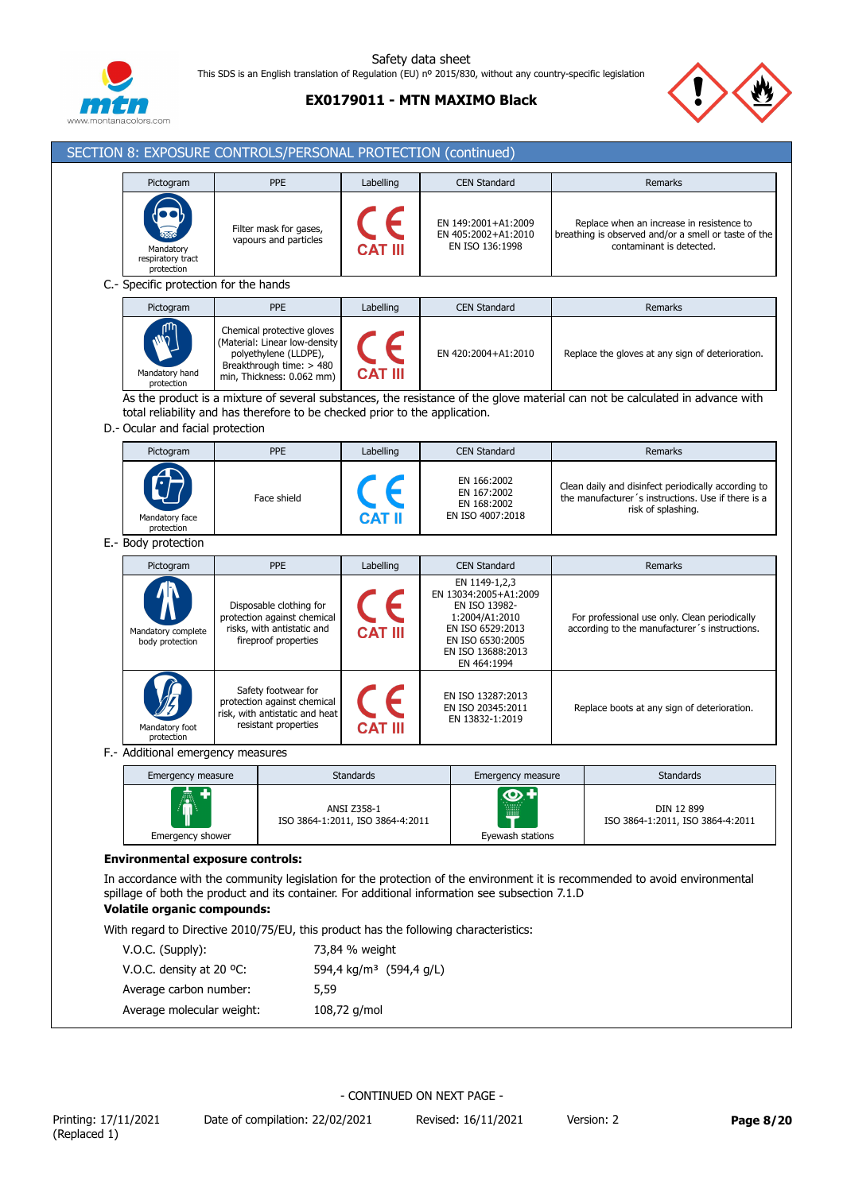

# **EX0179011 - MTN MAXIMO Black**



| Pictogram                                    | PPE                                                                                                                                           | Labelling      | <b>CEN Standard</b>                                                                                                                                   | <b>Remarks</b>                                                                                                                  |
|----------------------------------------------|-----------------------------------------------------------------------------------------------------------------------------------------------|----------------|-------------------------------------------------------------------------------------------------------------------------------------------------------|---------------------------------------------------------------------------------------------------------------------------------|
| Mandatory<br>respiratory tract<br>protection | Filter mask for gases,<br>vapours and particles                                                                                               |                | EN 149:2001+A1:2009<br>EN 405:2002+A1:2010<br>EN ISO 136:1998                                                                                         | Replace when an increase in resistence to<br>breathing is observed and/or a smell or taste of the<br>contaminant is detected.   |
| C .- Specific protection for the hands       |                                                                                                                                               |                |                                                                                                                                                       |                                                                                                                                 |
| Pictogram                                    | <b>PPE</b>                                                                                                                                    | Labelling      | <b>CEN Standard</b>                                                                                                                                   | <b>Remarks</b>                                                                                                                  |
| Mandatory hand<br>protection                 | Chemical protective gloves<br>(Material: Linear low-density<br>polyethylene (LLDPE),<br>Breakthrough time: > 480<br>min, Thickness: 0.062 mm) | <b>CAT III</b> | EN 420:2004+A1:2010                                                                                                                                   | Replace the gloves at any sign of deterioration.                                                                                |
|                                              | total reliability and has therefore to be checked prior to the application.                                                                   |                |                                                                                                                                                       | As the product is a mixture of several substances, the resistance of the glove material can not be calculated in advance with   |
| D.- Ocular and facial protection             |                                                                                                                                               |                |                                                                                                                                                       |                                                                                                                                 |
| Pictogram                                    | <b>PPE</b>                                                                                                                                    | Labelling      | <b>CEN Standard</b>                                                                                                                                   | <b>Remarks</b>                                                                                                                  |
| Mandatory face<br>protection                 | Face shield                                                                                                                                   |                | EN 166:2002<br>EN 167:2002<br>EN 168:2002<br>EN ISO 4007:2018                                                                                         | Clean daily and disinfect periodically according to<br>the manufacturer's instructions. Use if there is a<br>risk of splashing. |
| E.- Body protection                          |                                                                                                                                               |                |                                                                                                                                                       |                                                                                                                                 |
| Pictogram                                    | PPE                                                                                                                                           | Labelling      | <b>CEN Standard</b>                                                                                                                                   | Remarks                                                                                                                         |
| Mandatory complete<br>body protection        | Disposable clothing for<br>protection against chemical<br>risks, with antistatic and<br>fireproof properties                                  | CAT III        | EN 1149-1,2,3<br>EN 13034:2005+A1:2009<br>EN ISO 13982-<br>1:2004/A1:2010<br>EN ISO 6529:2013<br>EN ISO 6530:2005<br>EN ISO 13688:2013<br>EN 464:1994 | For professional use only. Clean periodically<br>according to the manufacturer's instructions.                                  |
| Mandatory foot<br>protection                 | Safety footwear for<br>protection against chemical<br>risk, with antistatic and heat<br>resistant properties                                  |                | EN ISO 13287:2013<br>EN ISO 20345:2011<br>EN 13832-1:2019                                                                                             | Replace boots at any sign of deterioration.                                                                                     |
| F.- Additional emergency measures            |                                                                                                                                               |                |                                                                                                                                                       |                                                                                                                                 |
| Emergency measure                            |                                                                                                                                               | Standards      | Emergency measure                                                                                                                                     | <b>Standards</b>                                                                                                                |
|                                              |                                                                                                                                               | ANSI Z358-1    | ထ +                                                                                                                                                   | DIN 12 899                                                                                                                      |

# **Volatile organic compounds:**

With regard to Directive 2010/75/EU, this product has the following characteristics:

| $V.O.C.$ (Supply):                 | 73,84 % weight                      |
|------------------------------------|-------------------------------------|
| V.O.C. density at 20 $^{\circ}$ C: | 594,4 kg/m <sup>3</sup> (594,4 g/L) |
| Average carbon number:             | 5.59                                |
| Average molecular weight:          | $108,72$ g/mol                      |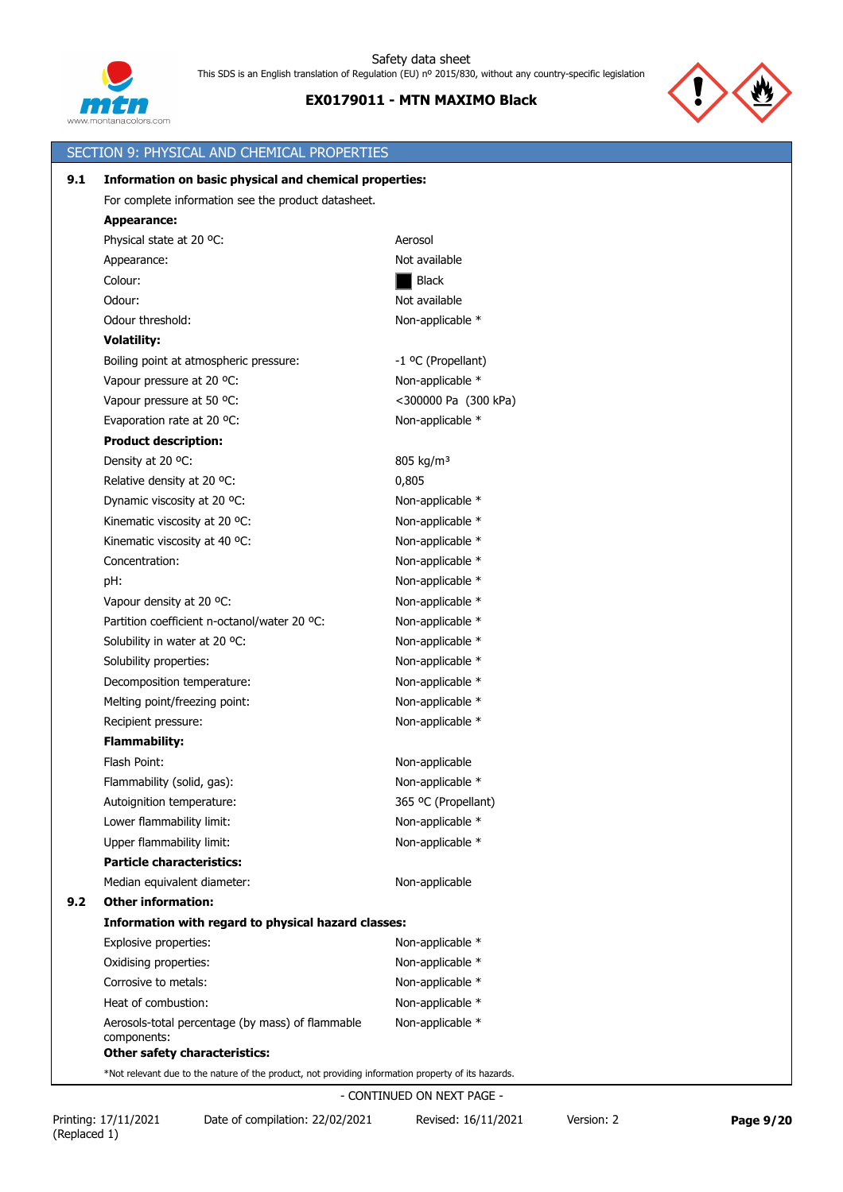



|     | SECTION 9: PHYSICAL AND CHEMICAL PROPERTIES                                                             |                       |
|-----|---------------------------------------------------------------------------------------------------------|-----------------------|
| 9.1 | Information on basic physical and chemical properties:                                                  |                       |
|     | For complete information see the product datasheet.                                                     |                       |
|     | <b>Appearance:</b>                                                                                      |                       |
|     | Physical state at 20 °C:                                                                                | Aerosol               |
|     | Appearance:                                                                                             | Not available         |
|     | Colour:                                                                                                 | Black                 |
|     | Odour:                                                                                                  | Not available         |
|     | Odour threshold:                                                                                        | Non-applicable *      |
|     | <b>Volatility:</b>                                                                                      |                       |
|     | Boiling point at atmospheric pressure:                                                                  | -1 °C (Propellant)    |
|     | Vapour pressure at 20 °C:                                                                               | Non-applicable *      |
|     | Vapour pressure at 50 °C:                                                                               | <300000 Pa (300 kPa)  |
|     | Evaporation rate at 20 °C:                                                                              | Non-applicable *      |
|     | <b>Product description:</b>                                                                             |                       |
|     | Density at 20 °C:                                                                                       | 805 kg/m <sup>3</sup> |
|     | Relative density at 20 °C:                                                                              | 0,805                 |
|     | Dynamic viscosity at 20 °C:                                                                             | Non-applicable *      |
|     | Kinematic viscosity at 20 °C:                                                                           | Non-applicable *      |
|     | Kinematic viscosity at 40 °C:                                                                           | Non-applicable *      |
|     | Concentration:                                                                                          | Non-applicable *      |
|     | pH:                                                                                                     | Non-applicable *      |
|     | Vapour density at 20 °C:                                                                                | Non-applicable *      |
|     | Partition coefficient n-octanol/water 20 °C:                                                            | Non-applicable *      |
|     | Solubility in water at 20 °C:                                                                           | Non-applicable *      |
|     | Solubility properties:                                                                                  | Non-applicable *      |
|     | Decomposition temperature:                                                                              | Non-applicable *      |
|     | Melting point/freezing point:                                                                           | Non-applicable *      |
|     | Recipient pressure:                                                                                     | Non-applicable *      |
|     | <b>Flammability:</b>                                                                                    |                       |
|     | Flash Point:                                                                                            | Non-applicable        |
|     | Flammability (solid, gas):                                                                              | Non-applicable *      |
|     | Autoignition temperature:                                                                               | 365 °C (Propellant)   |
|     | Lower flammability limit:                                                                               | Non-applicable *      |
|     | Upper flammability limit:                                                                               | Non-applicable *      |
|     | <b>Particle characteristics:</b>                                                                        |                       |
|     | Median equivalent diameter:                                                                             | Non-applicable        |
| 9.2 | <b>Other information:</b>                                                                               |                       |
|     | Information with regard to physical hazard classes:                                                     |                       |
|     | Explosive properties:                                                                                   | Non-applicable *      |
|     | Oxidising properties:                                                                                   | Non-applicable *      |
|     | Corrosive to metals:                                                                                    | Non-applicable *      |
|     | Heat of combustion:                                                                                     | Non-applicable *      |
|     | Aerosols-total percentage (by mass) of flammable<br>components:<br><b>Other safety characteristics:</b> | Non-applicable *      |
|     |                                                                                                         |                       |

\*Not relevant due to the nature of the product, not providing information property of its hazards.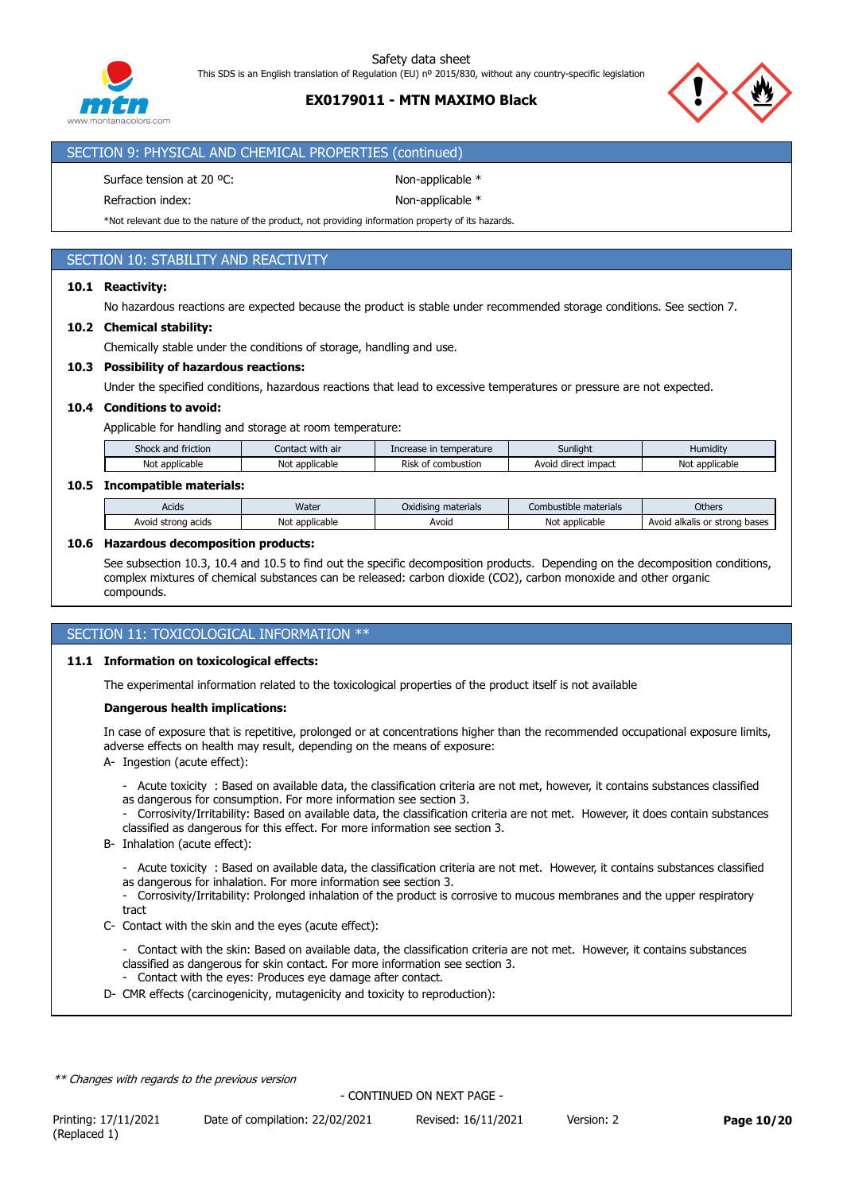

# **EX0179011 - MTN MAXIMO Black**



### SECTION 9: PHYSICAL AND CHEMICAL PROPERTIES (continued)

Surface tension at 20 °C: Non-applicable \*

Refraction index: Non-applicable \*

\*Not relevant due to the nature of the product, not providing information property of its hazards.

# SECTION 10: STABILITY AND REACTIVITY

## **10.1 Reactivity:**

No hazardous reactions are expected because the product is stable under recommended storage conditions. See section 7.

### **10.2 Chemical stability:**

Chemically stable under the conditions of storage, handling and use.

### **10.3 Possibility of hazardous reactions:**

Under the specified conditions, hazardous reactions that lead to excessive temperatures or pressure are not expected.

### **10.4 Conditions to avoid:**

Applicable for handling and storage at room temperature:

| Shock<br>friction<br>and | t with air<br>Contact | temperature<br>Inc<br>wrease n. | Sunlight               | <b>Humidity</b>     |
|--------------------------|-----------------------|---------------------------------|------------------------|---------------------|
| No<br>applicable         | applicable<br>Noi     | - -<br>combustion<br>Risk<br>ot | direct impact<br>Avoia | Not<br>: applicable |

### **10.5 Incompatible materials:**

| Acids                    | Water                       | $\cdots$<br>materials<br>Oxidisina | .<br>: materials<br>∴ombι<br>ust | Others                                   |
|--------------------------|-----------------------------|------------------------------------|----------------------------------|------------------------------------------|
| Avoid<br>strona<br>acids | t applicable<br>Not<br>۰d۱. | Avoid                              | Νοι<br>: applicable              | alkalis or<br>bases<br>Avoid<br>: strona |

### **10.6 Hazardous decomposition products:**

See subsection 10.3, 10.4 and 10.5 to find out the specific decomposition products. Depending on the decomposition conditions, complex mixtures of chemical substances can be released: carbon dioxide (CO2), carbon monoxide and other organic compounds.

## SECTION 11: TOXICOLOGICAL INFORMATION \*\*

### **11.1 Information on toxicological effects:**

The experimental information related to the toxicological properties of the product itself is not available

### **Dangerous health implications:**

In case of exposure that is repetitive, prolonged or at concentrations higher than the recommended occupational exposure limits, adverse effects on health may result, depending on the means of exposure:

- A- Ingestion (acute effect):
	- Acute toxicity : Based on available data, the classification criteria are not met, however, it contains substances classified as dangerous for consumption. For more information see section 3.
	- Corrosivity/Irritability: Based on available data, the classification criteria are not met. However, it does contain substances classified as dangerous for this effect. For more information see section 3.
- B- Inhalation (acute effect):
	- Acute toxicity : Based on available data, the classification criteria are not met. However, it contains substances classified as dangerous for inhalation. For more information see section 3.
	- Corrosivity/Irritability: Prolonged inhalation of the product is corrosive to mucous membranes and the upper respiratory tract
- C- Contact with the skin and the eyes (acute effect):
	- Contact with the skin: Based on available data, the classification criteria are not met. However, it contains substances classified as dangerous for skin contact. For more information see section 3.
	- Contact with the eyes: Produces eye damage after contact.
- D- CMR effects (carcinogenicity, mutagenicity and toxicity to reproduction):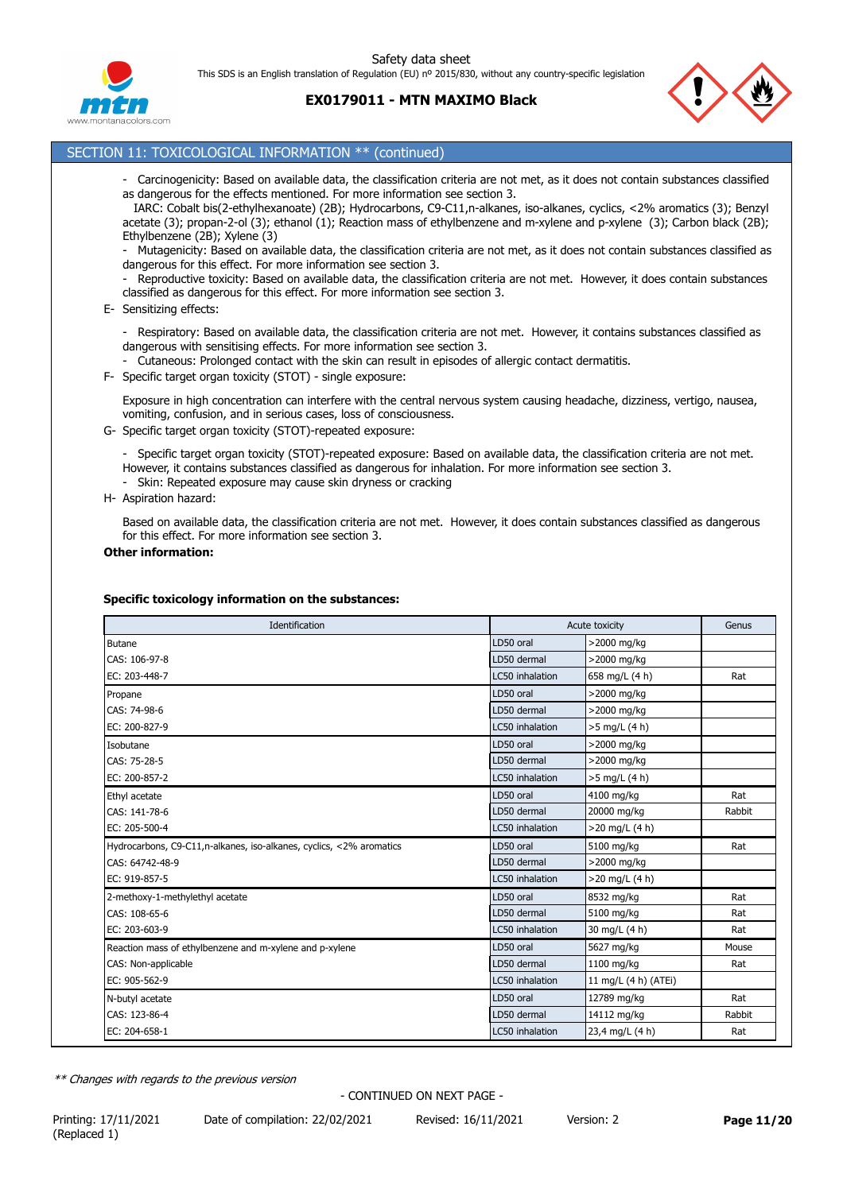Safety data sheet

This SDS is an English translation of Regulation (EU) nº 2015/830, without any country-specific legislation



**EX0179011 - MTN MAXIMO Black**



## SECTION 11: TOXICOLOGICAL INFORMATION \*\* (continued)

- Carcinogenicity: Based on available data, the classification criteria are not met, as it does not contain substances classified as dangerous for the effects mentioned. For more information see section 3.

 IARC: Cobalt bis(2-ethylhexanoate) (2B); Hydrocarbons, C9-C11,n-alkanes, iso-alkanes, cyclics, <2% aromatics (3); Benzyl acetate (3); propan-2-ol (3); ethanol (1); Reaction mass of ethylbenzene and m-xylene and p-xylene (3); Carbon black (2B); Ethylbenzene (2B); Xylene (3)

- Mutagenicity: Based on available data, the classification criteria are not met, as it does not contain substances classified as dangerous for this effect. For more information see section 3.

Reproductive toxicity: Based on available data, the classification criteria are not met. However, it does contain substances classified as dangerous for this effect. For more information see section 3.

- E- Sensitizing effects:
	- Respiratory: Based on available data, the classification criteria are not met. However, it contains substances classified as dangerous with sensitising effects. For more information see section 3.
	- Cutaneous: Prolonged contact with the skin can result in episodes of allergic contact dermatitis.
- F- Specific target organ toxicity (STOT) single exposure:

Exposure in high concentration can interfere with the central nervous system causing headache, dizziness, vertigo, nausea, vomiting, confusion, and in serious cases, loss of consciousness.

G- Specific target organ toxicity (STOT)-repeated exposure:

- Specific target organ toxicity (STOT)-repeated exposure: Based on available data, the classification criteria are not met. However, it contains substances classified as dangerous for inhalation. For more information see section 3.

- Skin: Repeated exposure may cause skin dryness or cracking
- H- Aspiration hazard:

Based on available data, the classification criteria are not met. However, it does contain substances classified as dangerous for this effect. For more information see section 3.

#### **Other information:**

### **Specific toxicology information on the substances:**

| Identification                                                       |                 | Acute toxicity       | Genus  |
|----------------------------------------------------------------------|-----------------|----------------------|--------|
| <b>Butane</b>                                                        | LD50 oral       | >2000 mg/kg          |        |
| CAS: 106-97-8                                                        | LD50 dermal     | >2000 mg/kg          |        |
| EC: 203-448-7                                                        | LC50 inhalation | 658 mg/L (4 h)       | Rat    |
| Propane                                                              | LD50 oral       | >2000 mg/kg          |        |
| CAS: 74-98-6                                                         | LD50 dermal     | >2000 mg/kg          |        |
| EC: 200-827-9                                                        | LC50 inhalation | >5 mg/L (4 h)        |        |
| Isobutane                                                            | LD50 oral       | >2000 mg/kg          |        |
| CAS: 75-28-5                                                         | LD50 dermal     | >2000 mg/kg          |        |
| EC: 200-857-2                                                        | LC50 inhalation | >5 mg/L (4 h)        |        |
| Ethyl acetate                                                        | LD50 oral       | 4100 mg/kg           | Rat    |
| CAS: 141-78-6                                                        | LD50 dermal     | 20000 mg/kg          | Rabbit |
| EC: 205-500-4                                                        | LC50 inhalation | >20 mg/L (4 h)       |        |
| Hydrocarbons, C9-C11, n-alkanes, iso-alkanes, cyclics, <2% aromatics | LD50 oral       | 5100 mg/kg           | Rat    |
| CAS: 64742-48-9                                                      | LD50 dermal     | >2000 mg/kg          |        |
| EC: 919-857-5                                                        | LC50 inhalation | >20 mg/L (4 h)       |        |
| 2-methoxy-1-methylethyl acetate                                      | LD50 oral       | 8532 mg/kg           | Rat    |
| CAS: 108-65-6                                                        | LD50 dermal     | 5100 mg/kg           | Rat    |
| EC: 203-603-9                                                        | LC50 inhalation | 30 mg/L (4 h)        | Rat    |
| Reaction mass of ethylbenzene and m-xylene and p-xylene              | LD50 oral       | 5627 mg/kg           | Mouse  |
| CAS: Non-applicable                                                  | LD50 dermal     | 1100 mg/kg           | Rat    |
| EC: 905-562-9                                                        | LC50 inhalation | 11 mg/L (4 h) (ATEi) |        |
| N-butyl acetate                                                      | LD50 oral       | 12789 mg/kg          | Rat    |
| CAS: 123-86-4                                                        | LD50 dermal     | 14112 mg/kg          | Rabbit |
| EC: 204-658-1                                                        | LC50 inhalation | 23,4 mg/L (4 h)      | Rat    |

*\*\* Changes with regards to the previous version*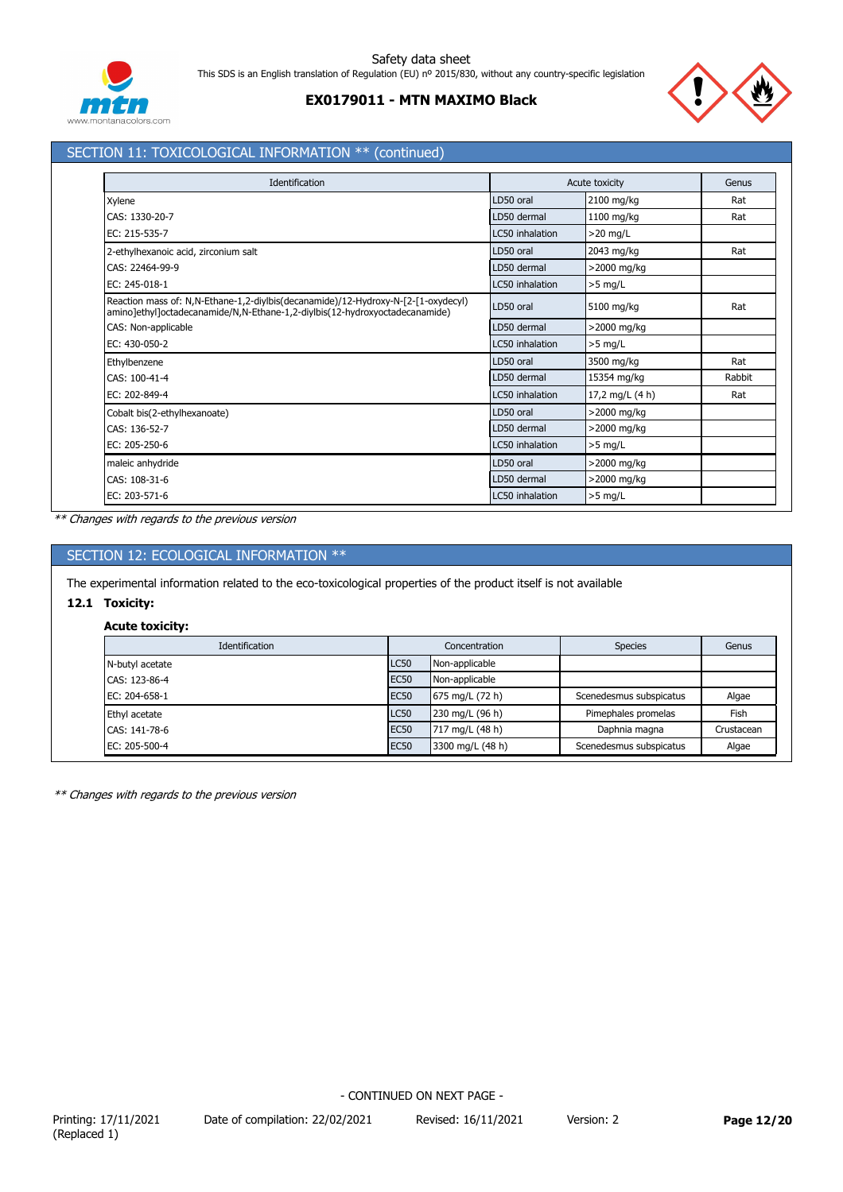



# SECTION 11: TOXICOLOGICAL INFORMATION \*\* (continued)

| Identification                                                                                                                                                   |                 | Acute toxicity  | Genus  |
|------------------------------------------------------------------------------------------------------------------------------------------------------------------|-----------------|-----------------|--------|
| Xylene                                                                                                                                                           | LD50 oral       | 2100 mg/kg      | Rat    |
| CAS: 1330-20-7                                                                                                                                                   | LD50 dermal     | 1100 mg/kg      | Rat    |
| EC: 215-535-7                                                                                                                                                    | LC50 inhalation | $>20$ mg/L      |        |
| 2-ethylhexanoic acid, zirconium salt                                                                                                                             | LD50 oral       | 2043 mg/kg      | Rat    |
| CAS: 22464-99-9                                                                                                                                                  | LD50 dermal     | >2000 mg/kg     |        |
| EC: 245-018-1                                                                                                                                                    | LC50 inhalation | $>5$ mg/L       |        |
| Reaction mass of: N,N-Ethane-1,2-diylbis(decanamide)/12-Hydroxy-N-[2-[1-oxydecyl)<br>amino]ethyl]octadecanamide/N,N-Ethane-1,2-diylbis(12-hydroxyoctadecanamide) | LD50 oral       | 5100 mg/kg      | Rat    |
| CAS: Non-applicable                                                                                                                                              | LD50 dermal     | >2000 mg/kg     |        |
| EC: 430-050-2                                                                                                                                                    | LC50 inhalation | $>5$ mg/L       |        |
| Ethylbenzene                                                                                                                                                     | LD50 oral       | 3500 mg/kg      | Rat    |
| CAS: 100-41-4                                                                                                                                                    | LD50 dermal     | 15354 mg/kg     | Rabbit |
| EC: 202-849-4                                                                                                                                                    | LC50 inhalation | 17,2 mg/L (4 h) | Rat    |
| Cobalt bis(2-ethylhexanoate)                                                                                                                                     | LD50 oral       | >2000 mg/kg     |        |
| CAS: 136-52-7                                                                                                                                                    | LD50 dermal     | >2000 mg/kg     |        |
| EC: 205-250-6                                                                                                                                                    | LC50 inhalation | $>5$ mg/L       |        |
| maleic anhydride                                                                                                                                                 | LD50 oral       | >2000 mg/kg     |        |
| CAS: 108-31-6                                                                                                                                                    | LD50 dermal     | >2000 mg/kg     |        |
| EC: 203-571-6                                                                                                                                                    | LC50 inhalation | $>5$ mg/L       |        |

*\*\* Changes with regards to the previous version*

# SECTION 12: ECOLOGICAL INFORMATION \*\*

The experimental information related to the eco-toxicological properties of the product itself is not available

# **12.1 Toxicity:**

## **Acute toxicity:**

| Identification  |             | Concentration    | <b>Species</b>          | Genus      |
|-----------------|-------------|------------------|-------------------------|------------|
| N-butyl acetate | <b>LC50</b> | Non-applicable   |                         |            |
| CAS: 123-86-4   | <b>EC50</b> | Non-applicable   |                         |            |
| EC: 204-658-1   | <b>EC50</b> | 675 mg/L (72 h)  | Scenedesmus subspicatus | Algae      |
| Ethyl acetate   | <b>LC50</b> | 230 mg/L (96 h)  | Pimephales promelas     | Fish       |
| CAS: 141-78-6   | <b>EC50</b> | 717 mg/L (48 h)  | Daphnia magna           | Crustacean |
| EC: 205-500-4   | <b>EC50</b> | 3300 mg/L (48 h) | Scenedesmus subspicatus | Algae      |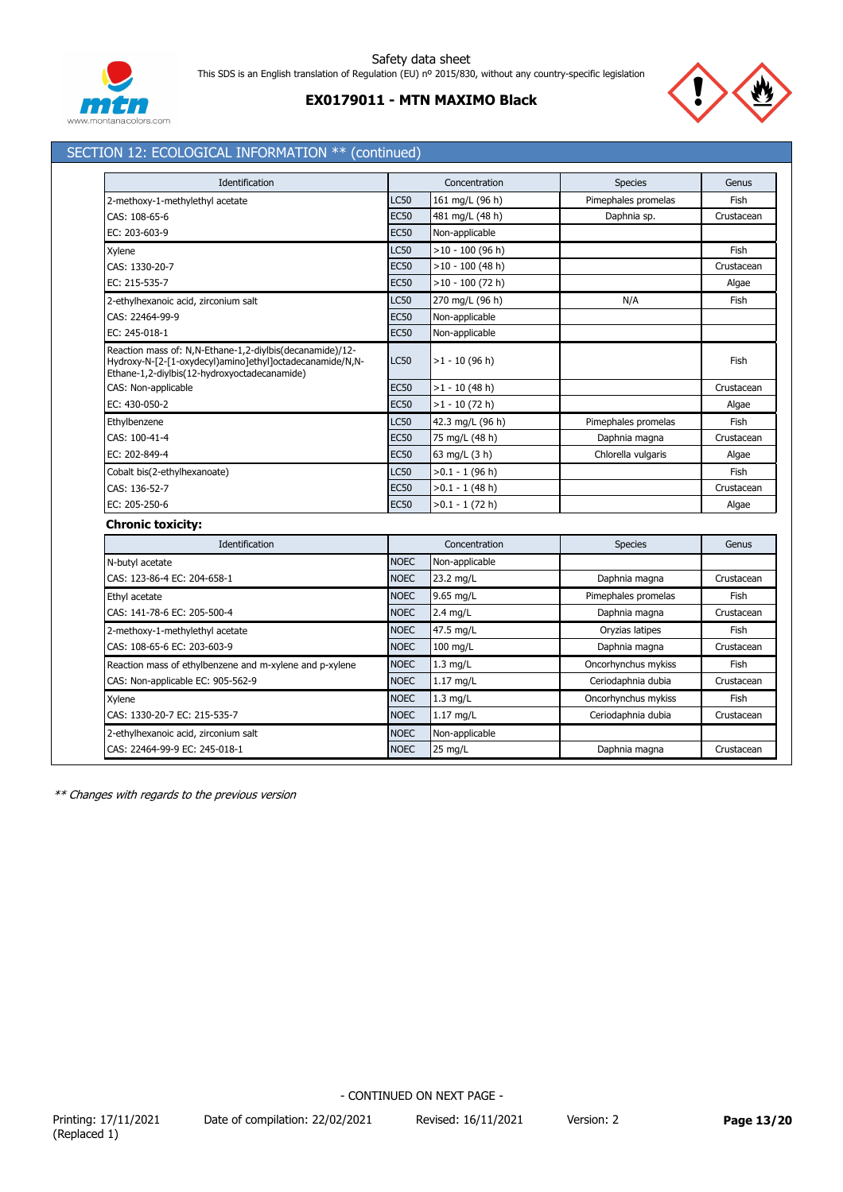

# **EX0179011 - MTN MAXIMO Black**



# SECTION 12: ECOLOGICAL INFORMATION \*\* (continued)

| Identification                                                                                                                                                       |             | Concentration      | <b>Species</b>      | Genus      |
|----------------------------------------------------------------------------------------------------------------------------------------------------------------------|-------------|--------------------|---------------------|------------|
| 2-methoxy-1-methylethyl acetate                                                                                                                                      | <b>LC50</b> | 161 mg/L (96 h)    | Pimephales promelas | Fish       |
| CAS: 108-65-6                                                                                                                                                        | <b>EC50</b> | 481 mg/L (48 h)    | Daphnia sp.         | Crustacean |
| EC: 203-603-9                                                                                                                                                        | <b>EC50</b> | Non-applicable     |                     |            |
| Xylene                                                                                                                                                               | LC50        | $>10 - 100$ (96 h) |                     | Fish       |
| CAS: 1330-20-7                                                                                                                                                       | <b>EC50</b> | $>10 - 100$ (48 h) |                     | Crustacean |
| EC: 215-535-7                                                                                                                                                        | <b>EC50</b> | $>10 - 100$ (72 h) |                     | Algae      |
| 2-ethylhexanoic acid, zirconium salt                                                                                                                                 | <b>LC50</b> | 270 mg/L (96 h)    | N/A                 | Fish       |
| CAS: 22464-99-9                                                                                                                                                      | <b>EC50</b> | Non-applicable     |                     |            |
| EC: 245-018-1                                                                                                                                                        | <b>EC50</b> | Non-applicable     |                     |            |
| Reaction mass of: N,N-Ethane-1,2-diylbis(decanamide)/12-<br>Hydroxy-N-[2-[1-oxydecyl)amino]ethyl]octadecanamide/N,N-<br>Ethane-1,2-diylbis(12-hydroxyoctadecanamide) | <b>LC50</b> | $>1 - 10$ (96 h)   |                     | Fish       |
| CAS: Non-applicable                                                                                                                                                  | <b>EC50</b> | $>1 - 10$ (48 h)   |                     | Crustacean |
| EC: 430-050-2                                                                                                                                                        | <b>EC50</b> | $>1 - 10$ (72 h)   |                     | Algae      |
| Ethylbenzene                                                                                                                                                         | LC50        | 42.3 mg/L (96 h)   | Pimephales promelas | Fish       |
| CAS: 100-41-4                                                                                                                                                        | <b>EC50</b> | 75 mg/L (48 h)     | Daphnia magna       | Crustacean |
| EC: 202-849-4                                                                                                                                                        | <b>EC50</b> | 63 mg/L (3 h)      | Chlorella vulgaris  | Algae      |
| Cobalt bis(2-ethylhexanoate)                                                                                                                                         | <b>LC50</b> | $>0.1 - 1$ (96 h)  |                     | Fish       |
| CAS: 136-52-7                                                                                                                                                        | <b>EC50</b> | $>0.1 - 1$ (48 h)  |                     | Crustacean |
| EC: 205-250-6                                                                                                                                                        | <b>EC50</b> | $>0.1 - 1$ (72 h)  |                     | Algae      |
| <b>Chronic toxicity:</b>                                                                                                                                             |             |                    |                     |            |
| Identification                                                                                                                                                       |             | Concentration      | <b>Species</b>      | Genus      |
| N-butyl acetate                                                                                                                                                      | <b>NOEC</b> | Non-applicable     |                     |            |
| CAS: 123-86-4 EC: 204-658-1                                                                                                                                          | <b>NOEC</b> | 23.2 mg/L          | Daphnia magna       | Crustacean |
| Ethyl acetate                                                                                                                                                        | <b>NOEC</b> | 9.65 mg/L          | Pimephales promelas | Fish       |
| CAS: 141-78-6 EC: 205-500-4                                                                                                                                          | <b>NOEC</b> | $2.4$ mg/L         | Daphnia magna       | Crustacean |
| 2-methoxy-1-methylethyl acetate                                                                                                                                      | <b>NOEC</b> | 47.5 mg/L          | Oryzias latipes     | Fish       |
| CAS: 108-65-6 EC: 203-603-9                                                                                                                                          | <b>NOEC</b> | $100$ mg/L         | Daphnia magna       | Crustacean |
| Reaction mass of ethylbenzene and m-xylene and p-xylene                                                                                                              | <b>NOEC</b> | $1.3$ mg/L         | Oncorhynchus mykiss | Fish       |
| CAS: Non-applicable EC: 905-562-9                                                                                                                                    | <b>NOEC</b> | $1.17$ mg/L        | Ceriodaphnia dubia  | Crustacean |
| Xylene                                                                                                                                                               | <b>NOEC</b> | $1.3$ mg/L         | Oncorhynchus mykiss | Fish       |
| CAS: 1330-20-7 EC: 215-535-7                                                                                                                                         | <b>NOEC</b> | $1.17$ mg/L        | Ceriodaphnia dubia  | Crustacean |
| 2-ethylhexanoic acid, zirconium salt                                                                                                                                 | <b>NOEC</b> | Non-applicable     |                     |            |
| CAS: 22464-99-9 EC: 245-018-1                                                                                                                                        | <b>NOEC</b> | 25 mg/L            | Daphnia magna       | Crustacean |

*\*\* Changes with regards to the previous version*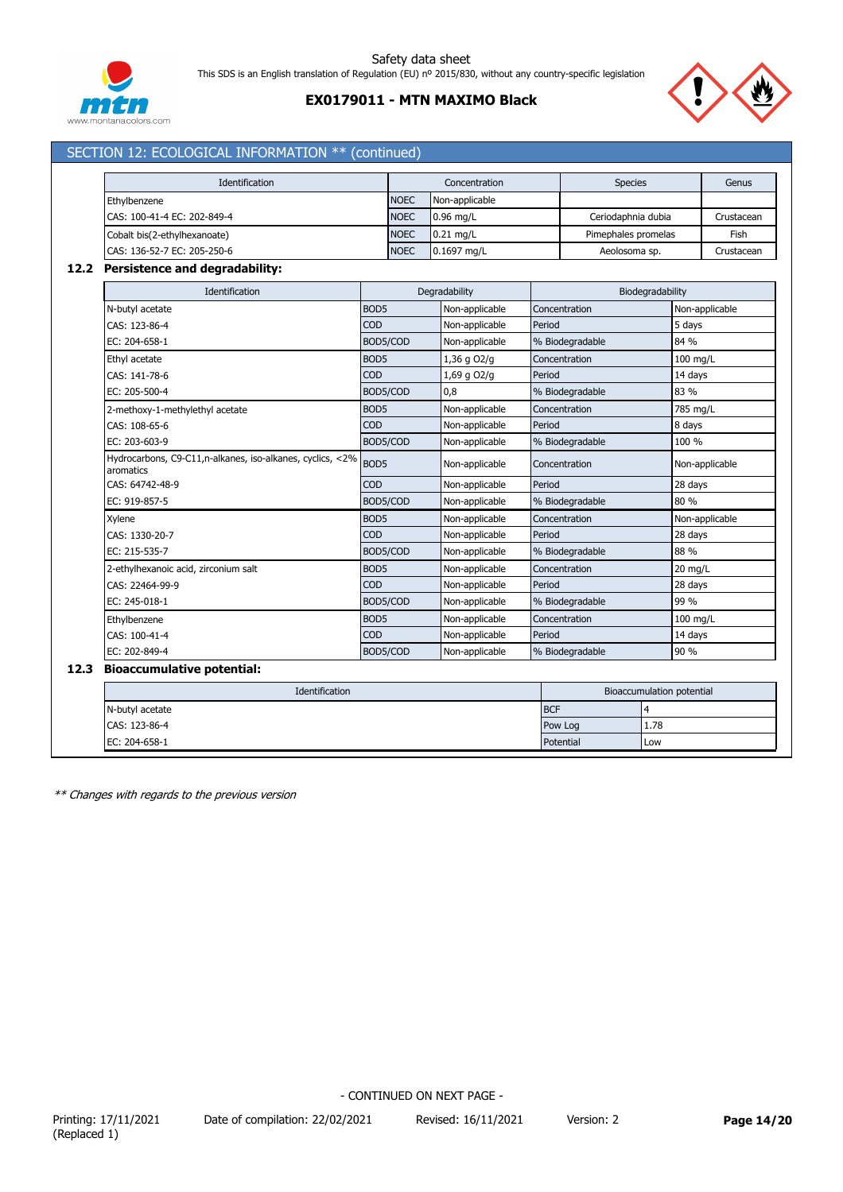

# **EX0179011 - MTN MAXIMO Black**



# SECTION 12: ECOLOGICAL INFORMATION \*\* (continued)

| Identification               |             | Concentration  | <b>Species</b>      | Genus      |
|------------------------------|-------------|----------------|---------------------|------------|
| Ethylbenzene                 | <b>NOEC</b> | Non-applicable |                     |            |
| CAS: 100-41-4 EC: 202-849-4  | <b>NOEC</b> | $0.96$ mg/L    | Ceriodaphnia dubia  | Crustacean |
| Cobalt bis(2-ethylhexanoate) | <b>NOEC</b> | $0.21$ mg/L    | Pimephales promelas | Fish       |
| CAS: 136-52-7 EC: 205-250-6  | <b>NOEC</b> | 0.1697 mg/L    | Aeolosoma sp.       | Crustacean |

## **12.2 Persistence and degradability:**

| Identification                                                         |                  | Degradability  |                 | Biodegradability |
|------------------------------------------------------------------------|------------------|----------------|-----------------|------------------|
| N-butyl acetate                                                        | BOD <sub>5</sub> | Non-applicable | Concentration   | Non-applicable   |
| CAS: 123-86-4                                                          | <b>COD</b>       | Non-applicable | Period          | 5 days           |
| EC: 204-658-1                                                          | BOD5/COD         | Non-applicable | % Biodegradable | 84 %             |
| Ethyl acetate                                                          | BOD <sub>5</sub> | 1,36 g O2/g    | Concentration   | 100 mg/L         |
| CAS: 141-78-6                                                          | <b>COD</b>       | 1,69 g O2/g    | Period          | 14 days          |
| EC: 205-500-4                                                          | BOD5/COD         | 0,8            | % Biodegradable | 83 %             |
| 2-methoxy-1-methylethyl acetate                                        | BOD <sub>5</sub> | Non-applicable | Concentration   | 785 mg/L         |
| CAS: 108-65-6                                                          | <b>COD</b>       | Non-applicable | Period          | 8 days           |
| EC: 203-603-9                                                          | BOD5/COD         | Non-applicable | % Biodegradable | 100 %            |
| Hydrocarbons, C9-C11,n-alkanes, iso-alkanes, cyclics, <2%<br>aromatics | BOD <sub>5</sub> | Non-applicable | Concentration   | Non-applicable   |
| CAS: 64742-48-9                                                        | COD              | Non-applicable | Period          | 28 days          |
| EC: 919-857-5                                                          | BOD5/COD         | Non-applicable | % Biodegradable | 80 %             |
| Xylene                                                                 | BOD <sub>5</sub> | Non-applicable | Concentration   | Non-applicable   |
| CAS: 1330-20-7                                                         | <b>COD</b>       | Non-applicable | Period          | 28 days          |
| EC: 215-535-7                                                          | BOD5/COD         | Non-applicable | % Biodegradable | 88 %             |
| 2-ethylhexanoic acid, zirconium salt                                   | BOD <sub>5</sub> | Non-applicable | Concentration   | 20 mg/L          |
| CAS: 22464-99-9                                                        | <b>COD</b>       | Non-applicable | Period          | 28 days          |
| EC: 245-018-1                                                          | BOD5/COD         | Non-applicable | % Biodegradable | 99 %             |
| Ethylbenzene                                                           | BOD <sub>5</sub> | Non-applicable | Concentration   | 100 mg/L         |
| CAS: 100-41-4                                                          | <b>COD</b>       | Non-applicable | Period          | 14 days          |
| EC: 202-849-4                                                          | BOD5/COD         | Non-applicable | % Biodegradable | 90 %             |

| Identification  |            | Bioaccumulation potential |
|-----------------|------------|---------------------------|
| N-butyl acetate | <b>BCF</b> |                           |
| CAS: 123-86-4   | Pow Log    | 1.78                      |
| EC: 204-658-1   | Potential  | I Low                     |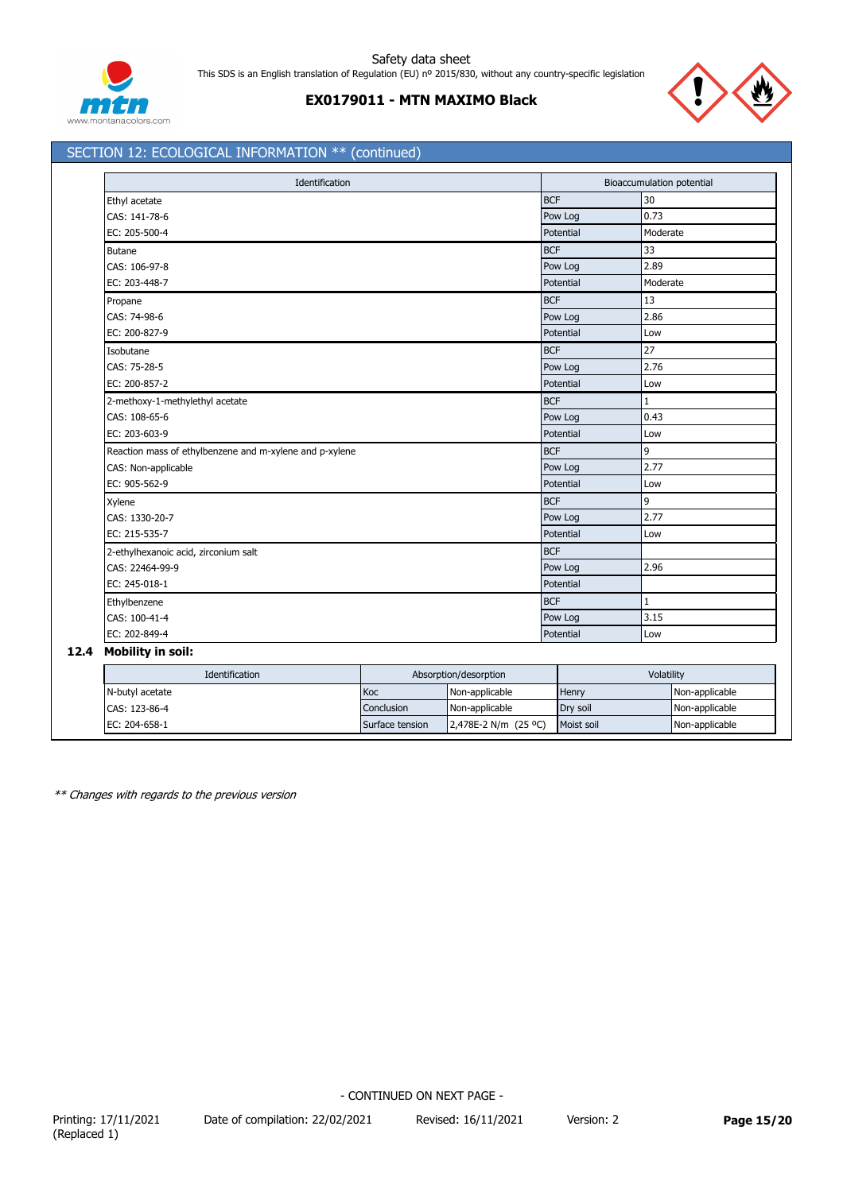



# SECTION 12: ECOLOGICAL INFORMATION \*\* (continued)

| Identification                                          |            | <b>Bioaccumulation potential</b> |  |  |
|---------------------------------------------------------|------------|----------------------------------|--|--|
| Ethyl acetate                                           | <b>BCF</b> | 30                               |  |  |
| CAS: 141-78-6                                           | Pow Log    | 0.73                             |  |  |
| EC: 205-500-4                                           | Potential  | Moderate                         |  |  |
| <b>Butane</b>                                           | <b>BCF</b> | 33                               |  |  |
| CAS: 106-97-8                                           | Pow Log    | 2.89                             |  |  |
| EC: 203-448-7                                           | Potential  | Moderate                         |  |  |
| Propane                                                 | <b>BCF</b> | 13                               |  |  |
| CAS: 74-98-6                                            | Pow Log    | 2.86                             |  |  |
| EC: 200-827-9                                           | Potential  | Low                              |  |  |
| Isobutane                                               | <b>BCF</b> | 27                               |  |  |
| CAS: 75-28-5                                            | Pow Log    | 2.76                             |  |  |
| EC: 200-857-2                                           | Potential  | Low                              |  |  |
| 2-methoxy-1-methylethyl acetate                         | <b>BCF</b> | $\mathbf{1}$                     |  |  |
| CAS: 108-65-6                                           | Pow Log    | 0.43                             |  |  |
| EC: 203-603-9                                           | Potential  | Low                              |  |  |
| Reaction mass of ethylbenzene and m-xylene and p-xylene | <b>BCF</b> | 9                                |  |  |
| CAS: Non-applicable                                     | Pow Log    | 2.77                             |  |  |
| EC: 905-562-9                                           | Potential  | Low                              |  |  |
| Xylene                                                  | <b>BCF</b> | 9                                |  |  |
| CAS: 1330-20-7                                          | Pow Log    | 2.77                             |  |  |
| EC: 215-535-7                                           | Potential  | Low                              |  |  |
| 2-ethylhexanoic acid, zirconium salt                    | <b>BCF</b> |                                  |  |  |
| CAS: 22464-99-9                                         | Pow Log    | 2.96                             |  |  |
| EC: 245-018-1                                           | Potential  |                                  |  |  |
| Ethylbenzene                                            | <b>BCF</b> | 1                                |  |  |
| CAS: 100-41-4                                           | Pow Log    | 3.15                             |  |  |
| EC: 202-849-4                                           | Potential  | Low                              |  |  |

| Identification  |                 | Absorption/desorption | Volatility |                |
|-----------------|-----------------|-----------------------|------------|----------------|
| N-butyl acetate | Koc             | Non-applicable        | Henry      | Non-applicable |
| CAS: 123-86-4   | Conclusion      | Non-applicable        | Drv soil   | Non-applicable |
| EC: 204-658-1   | Surface tension | 2,478E-2 N/m (25 °C)  | Moist soil | Non-applicable |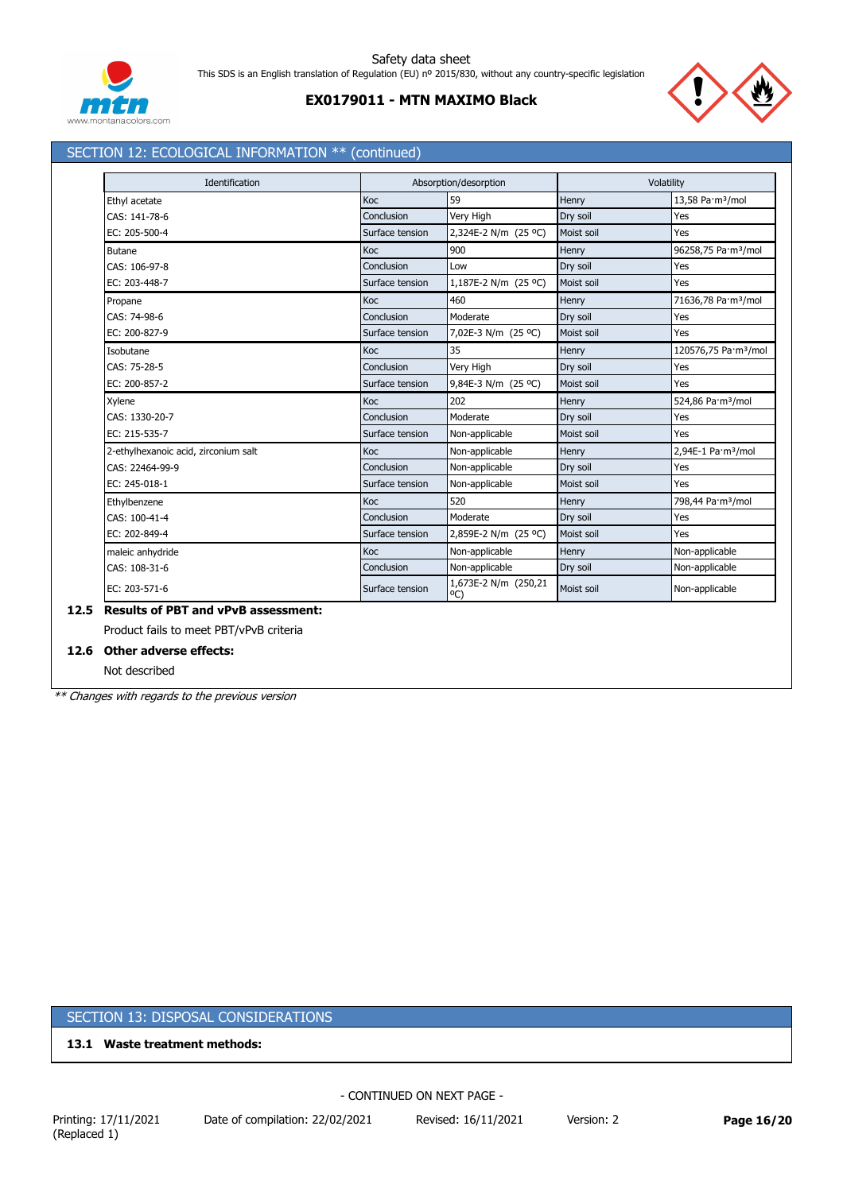

# **EX0179011 - MTN MAXIMO Black**



# SECTION 12: ECOLOGICAL INFORMATION \*\* (continued)

| Identification                       |                 | Absorption/desorption                 |            | Volatility                       |
|--------------------------------------|-----------------|---------------------------------------|------------|----------------------------------|
| Ethyl acetate                        | Koc             | 59                                    | Henry      | 13,58 Pa·m <sup>3</sup> /mol     |
| CAS: 141-78-6                        | Conclusion      | Very High                             | Dry soil   | Yes                              |
| EC: 205-500-4                        | Surface tension | 2,324E-2 N/m (25 °C)                  | Moist soil | Yes                              |
| <b>Butane</b>                        | Koc             | 900                                   | Henry      | 96258,75 Pa·m <sup>3</sup> /mol  |
| CAS: 106-97-8                        | Conclusion      | Low                                   | Dry soil   | Yes                              |
| EC: 203-448-7                        | Surface tension | 1,187E-2 N/m (25 °C)                  | Moist soil | Yes                              |
| Propane                              | Koc             | 460                                   | Henry      | 71636,78 Pa·m <sup>3</sup> /mol  |
| CAS: 74-98-6                         | Conclusion      | Moderate                              | Dry soil   | Yes                              |
| EC: 200-827-9                        | Surface tension | 7,02E-3 N/m (25 °C)                   | Moist soil | Yes                              |
| Isobutane                            | Koc             | 35                                    | Henry      | 120576,75 Pa·m <sup>3</sup> /mol |
| CAS: 75-28-5                         | Conclusion      | Very High                             | Dry soil   | Yes                              |
| EC: 200-857-2                        | Surface tension | 9,84E-3 N/m (25 °C)                   | Moist soil | Yes                              |
| Xylene                               | Koc             | 202                                   | Henry      | 524,86 Pa·m <sup>3</sup> /mol    |
| CAS: 1330-20-7                       | Conclusion      | Moderate                              | Dry soil   | Yes                              |
| EC: 215-535-7                        | Surface tension | Non-applicable                        | Moist soil | Yes                              |
| 2-ethylhexanoic acid, zirconium salt | Koc             | Non-applicable                        | Henry      | 2,94E-1 Pa·m <sup>3</sup> /mol   |
| CAS: 22464-99-9                      | Conclusion      | Non-applicable                        | Dry soil   | Yes                              |
| EC: 245-018-1                        | Surface tension | Non-applicable                        | Moist soil | Yes                              |
| Ethylbenzene                         | Koc             | 520                                   | Henry      | 798,44 Pa·m <sup>3</sup> /mol    |
| CAS: 100-41-4                        | Conclusion      | Moderate                              | Dry soil   | Yes                              |
| EC: 202-849-4                        | Surface tension | 2,859E-2 N/m (25 °C)                  | Moist soil | Yes                              |
| maleic anhydride                     | Koc             | Non-applicable                        | Henry      | Non-applicable                   |
| CAS: 108-31-6                        | Conclusion      | Non-applicable                        | Dry soil   | Non-applicable                   |
| EC: 203-571-6                        | Surface tension | 1,673E-2 N/m (250,21<br>$^{\circ}$ C) | Moist soil | Non-applicable                   |

## **12.6 Other adverse effects:**

Not described

*\*\* Changes with regards to the previous version*

# SECTION 13: DISPOSAL CONSIDERATIONS

**13.1 Waste treatment methods:**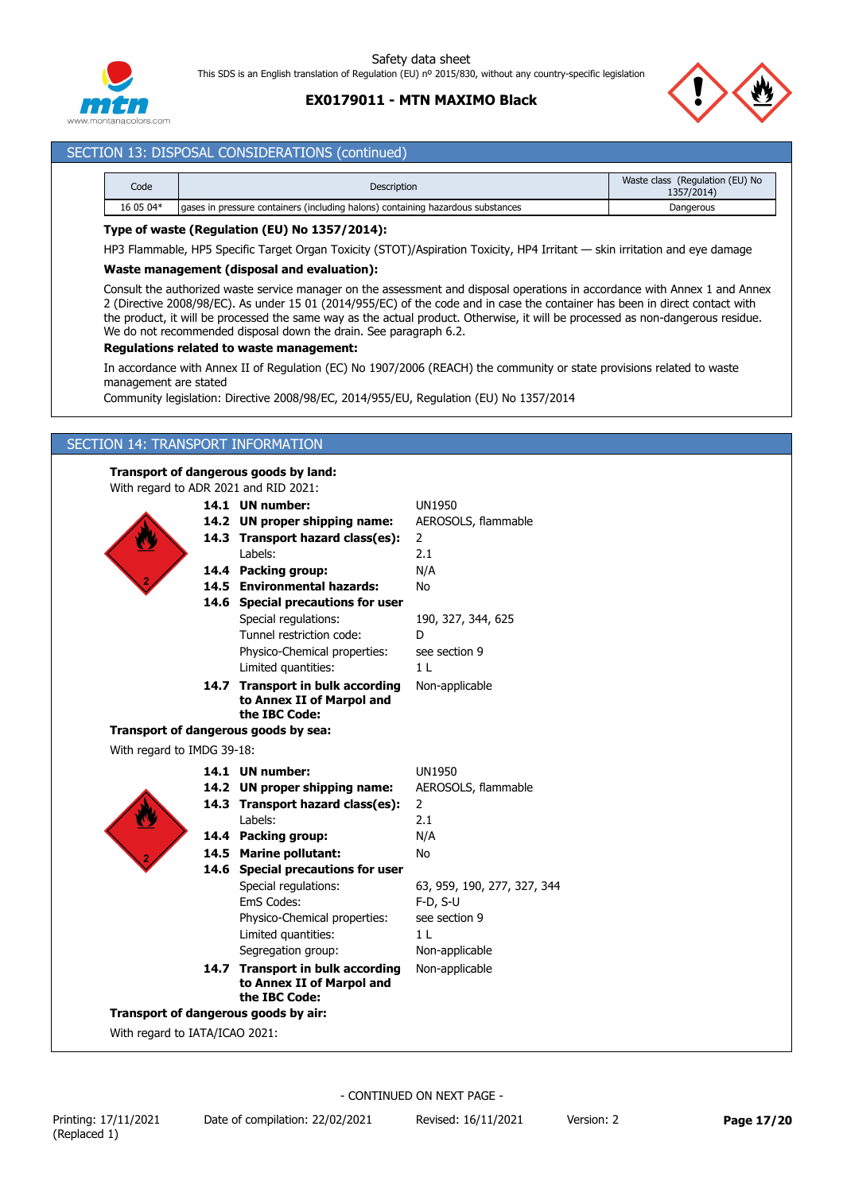

# **EX0179011 - MTN MAXIMO Black**



# SECTION 13: DISPOSAL CONSIDERATIONS (continued)

| Code      | <b>Description</b>                                                              | Waste class (Regulation (EU) No<br>1357/2014) |
|-----------|---------------------------------------------------------------------------------|-----------------------------------------------|
| 16 05 04* | aases in pressure containers (including halons) containing hazardous substances | Dangerous                                     |

## **Type of waste (Regulation (EU) No 1357/2014):**

HP3 Flammable, HP5 Specific Target Organ Toxicity (STOT)/Aspiration Toxicity, HP4 Irritant — skin irritation and eye damage

#### **Waste management (disposal and evaluation):**

Consult the authorized waste service manager on the assessment and disposal operations in accordance with Annex 1 and Annex 2 (Directive 2008/98/EC). As under 15 01 (2014/955/EC) of the code and in case the container has been in direct contact with the product, it will be processed the same way as the actual product. Otherwise, it will be processed as non-dangerous residue. We do not recommended disposal down the drain. See paragraph 6.2.

### **Regulations related to waste management:**

In accordance with Annex II of Regulation (EC) No 1907/2006 (REACH) the community or state provisions related to waste management are stated

Community legislation: Directive 2008/98/EC, 2014/955/EU, Regulation (EU) No 1357/2014

## SECTION 14: TRANSPORT INFORMATION

### **Transport of dangerous goods by land:**

With regard to ADR 2021 and RID 2021:

|                            | 14.1 UN number:                                               | <b>UN1950</b>               |
|----------------------------|---------------------------------------------------------------|-----------------------------|
|                            | 14.2 UN proper shipping name:                                 | AEROSOLS, flammable         |
|                            | 14.3 Transport hazard class(es):                              | 2                           |
|                            | Labels:                                                       | 2.1                         |
|                            | 14.4 Packing group:                                           | N/A                         |
|                            | 14.5 Environmental hazards:                                   | <b>No</b>                   |
|                            | 14.6 Special precautions for user                             |                             |
|                            | Special regulations:                                          | 190, 327, 344, 625          |
|                            | Tunnel restriction code:                                      | D                           |
|                            | Physico-Chemical properties:                                  | see section 9               |
|                            | Limited quantities:                                           | 1 <sub>1</sub>              |
|                            | 14.7 Transport in bulk according<br>to Annex II of Marpol and | Non-applicable              |
|                            | the IBC Code:                                                 |                             |
|                            | Transport of dangerous goods by sea:                          |                             |
| With regard to IMDG 39-18: |                                                               |                             |
|                            | 14.1 UN number:                                               | <b>UN1950</b>               |
|                            | 14.2 UN proper shipping name:                                 | AEROSOLS, flammable         |
|                            |                                                               |                             |
|                            | 14.3 Transport hazard class(es):                              | $\overline{2}$              |
|                            | Labels:                                                       | 2.1                         |
|                            | 14.4 Packing group:                                           | N/A                         |
|                            | 14.5 Marine pollutant:                                        | <b>No</b>                   |
|                            | 14.6 Special precautions for user                             |                             |
|                            | Special regulations:                                          | 63, 959, 190, 277, 327, 344 |
|                            | <b>FmS Codes:</b>                                             | $F-D, S-U$                  |
|                            | Physico-Chemical properties:                                  | see section 9               |
|                            | Limited quantities:                                           | 1 <sub>L</sub>              |
|                            | Segregation group:                                            | Non-applicable              |
|                            | 14.7 Transport in bulk according                              | Non-applicable              |
|                            | to Annex II of Marpol and<br>the IBC Code:                    |                             |

With regard to IATA/ICAO 2021: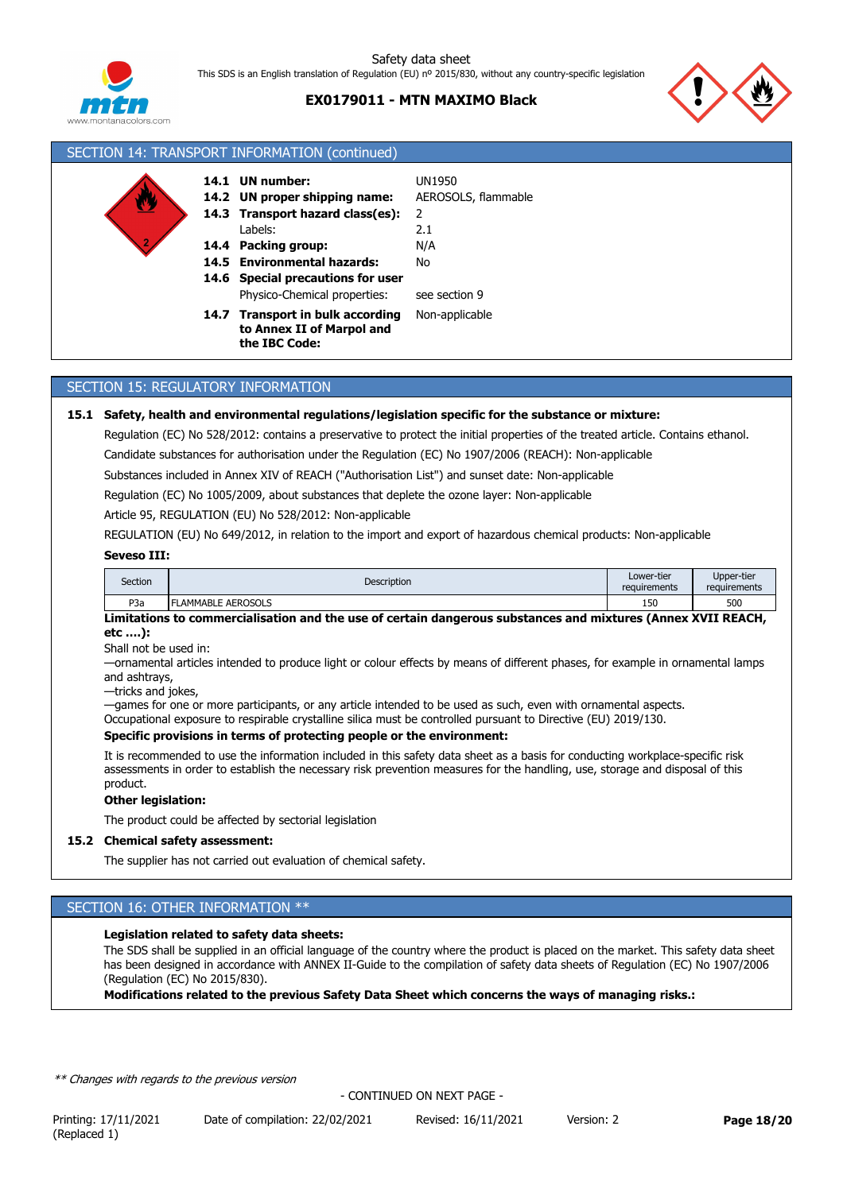

## **EX0179011 - MTN MAXIMO Black**



| SECTION 14: TRANSPORT INFORMATION (continued) |  |                                                                                                  |                                           |  |  |
|-----------------------------------------------|--|--------------------------------------------------------------------------------------------------|-------------------------------------------|--|--|
|                                               |  | 14.1 UN number:<br>14.2 UN proper shipping name:<br>14.3 Transport hazard class(es):             | <b>UN1950</b><br>AEROSOLS, flammable<br>2 |  |  |
|                                               |  | Labels:<br>14.4 Packing group:                                                                   | 2.1<br>N/A                                |  |  |
|                                               |  | 14.5 Environmental hazards:<br>14.6 Special precautions for user<br>Physico-Chemical properties: | No<br>see section 9                       |  |  |
|                                               |  | 14.7 Transport in bulk according<br>to Annex II of Marpol and<br>the IBC Code:                   | Non-applicable                            |  |  |

## SECTION 15: REGULATORY INFORMATION

#### **15.1 Safety, health and environmental regulations/legislation specific for the substance or mixture:**

Regulation (EC) No 528/2012: contains a preservative to protect the initial properties of the treated article. Contains ethanol.

Candidate substances for authorisation under the Regulation (EC) No 1907/2006 (REACH): Non-applicable

Substances included in Annex XIV of REACH ("Authorisation List") and sunset date: Non-applicable

Regulation (EC) No 1005/2009, about substances that deplete the ozone layer: Non-applicable

Article 95, REGULATION (EU) No 528/2012: Non-applicable

REGULATION (EU) No 649/2012, in relation to the import and export of hazardous chemical products: Non-applicable

### **Seveso III:**

| Section | Description       | Lower-tier<br>requirements | Upper-tier<br>requirements |
|---------|-------------------|----------------------------|----------------------------|
| P3a     | LAMMABLE AEROSOLS | 150                        | 500                        |

**Limitations to commercialisation and the use of certain dangerous substances and mixtures (Annex XVII REACH, etc ….):**

Shall not be used in:

—ornamental articles intended to produce light or colour effects by means of different phases, for example in ornamental lamps and ashtrays,

—tricks and jokes,

—games for one or more participants, or any article intended to be used as such, even with ornamental aspects.

Occupational exposure to respirable crystalline silica must be controlled pursuant to Directive (EU) 2019/130.

## **Specific provisions in terms of protecting people or the environment:**

It is recommended to use the information included in this safety data sheet as a basis for conducting workplace-specific risk assessments in order to establish the necessary risk prevention measures for the handling, use, storage and disposal of this product.

#### **Other legislation:**

The product could be affected by sectorial legislation

#### **15.2 Chemical safety assessment:**

The supplier has not carried out evaluation of chemical safety.

# SECTION 16: OTHER INFORMATION \*\*

### **Legislation related to safety data sheets:**

The SDS shall be supplied in an official language of the country where the product is placed on the market. This safety data sheet has been designed in accordance with ANNEX II-Guide to the compilation of safety data sheets of Regulation (EC) No 1907/2006 (Regulation (EC) No 2015/830).

**Modifications related to the previous Safety Data Sheet which concerns the ways of managing risks.:**

*\*\* Changes with regards to the previous version*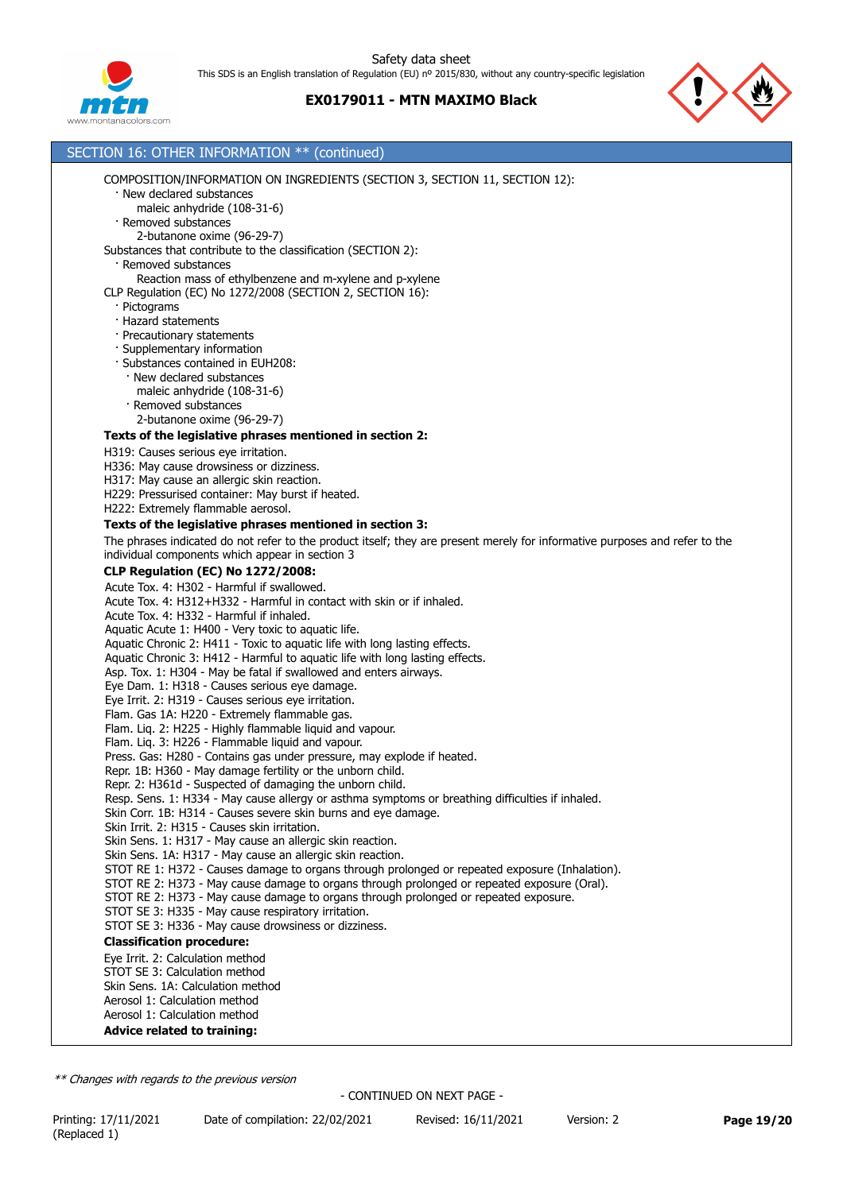



#### SECTION 16: OTHER INFORMATION \*\* (continued) COMPOSITION/INFORMATION ON INGREDIENTS (SECTION 3, SECTION 11, SECTION 12): · New declared substances maleic anhydride (108-31-6) · Removed substances 2-butanone oxime (96-29-7) Substances that contribute to the classification (SECTION 2): · Removed substances Reaction mass of ethylbenzene and m-xylene and p-xylene CLP Regulation (EC) No 1272/2008 (SECTION 2, SECTION 16): · Pictograms · Hazard statements · Precautionary statements · Supplementary information · Substances contained in EUH208: · New declared substances maleic anhydride (108-31-6) · Removed substances 2-butanone oxime (96-29-7) **Texts of the legislative phrases mentioned in section 2:** H319: Causes serious eye irritation. H336: May cause drowsiness or dizziness. H317: May cause an allergic skin reaction. H229: Pressurised container: May burst if heated. H222: Extremely flammable aerosol. **Texts of the legislative phrases mentioned in section 3:** The phrases indicated do not refer to the product itself; they are present merely for informative purposes and refer to the individual components which appear in section 3 **CLP Regulation (EC) No 1272/2008:** Acute Tox. 4: H302 - Harmful if swallowed. Acute Tox. 4: H312+H332 - Harmful in contact with skin or if inhaled. Acute Tox. 4: H332 - Harmful if inhaled. Aquatic Acute 1: H400 - Very toxic to aquatic life. Aquatic Chronic 2: H411 - Toxic to aquatic life with long lasting effects. Aquatic Chronic 3: H412 - Harmful to aquatic life with long lasting effects. Asp. Tox. 1: H304 - May be fatal if swallowed and enters airways. Eye Dam. 1: H318 - Causes serious eye damage. Eye Irrit. 2: H319 - Causes serious eye irritation. Flam. Gas 1A: H220 - Extremely flammable gas. Flam. Liq. 2: H225 - Highly flammable liquid and vapour. Flam. Liq. 3: H226 - Flammable liquid and vapour. Press. Gas: H280 - Contains gas under pressure, may explode if heated. Repr. 1B: H360 - May damage fertility or the unborn child. Repr. 2: H361d - Suspected of damaging the unborn child. Resp. Sens. 1: H334 - May cause allergy or asthma symptoms or breathing difficulties if inhaled. Skin Corr. 1B: H314 - Causes severe skin burns and eye damage. Skin Irrit. 2: H315 - Causes skin irritation. Skin Sens. 1: H317 - May cause an allergic skin reaction. Skin Sens. 1A: H317 - May cause an allergic skin reaction. STOT RE 1: H372 - Causes damage to organs through prolonged or repeated exposure (Inhalation). STOT RE 2: H373 - May cause damage to organs through prolonged or repeated exposure (Oral). STOT RE 2: H373 - May cause damage to organs through prolonged or repeated exposure. STOT SE 3: H335 - May cause respiratory irritation. STOT SE 3: H336 - May cause drowsiness or dizziness. **Classification procedure:** Eye Irrit. 2: Calculation method STOT SE 3: Calculation method Skin Sens. 1A: Calculation method Aerosol 1: Calculation method Aerosol 1: Calculation method **Advice related to training:**

*\*\* Changes with regards to the previous version*